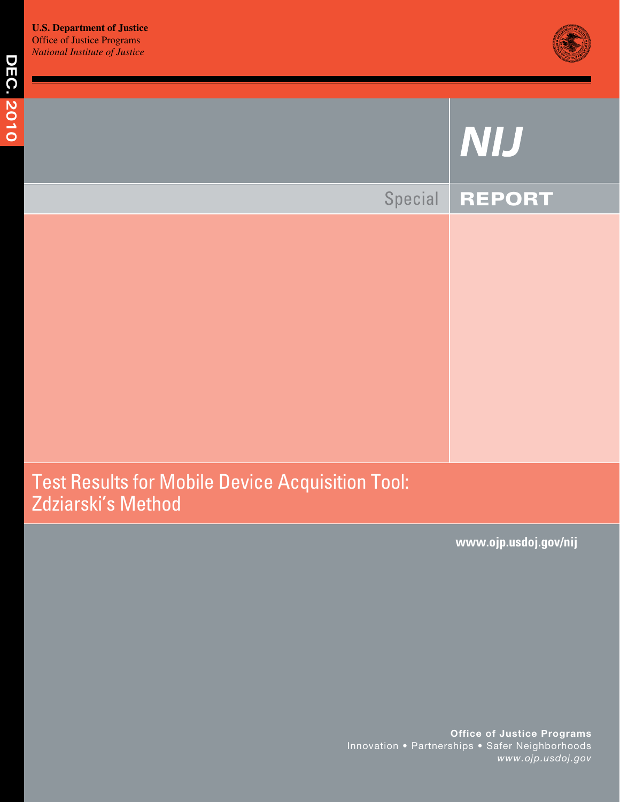

# **DEC. 2010 Dec. 2010**  NIJ Special REPORT Test Results for Mobile Device Acquisition Tool: Zdziarski's Method

**www.ojp.usdoj.gov/nij**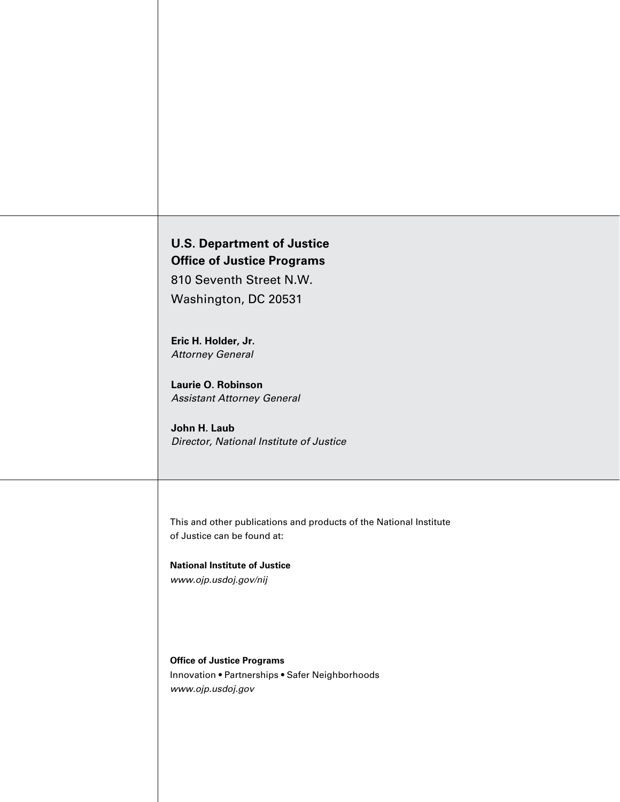## **U.S. Department of Justice Office of Justice Programs**

 810 Seventh Street N.W. Washington, DC 20531

**Eric H. Holder, Jr.**  *Attorney General* 

**Laurie O. Robinson**  *Assistant Attorney General* 

**John H. Laub**  *Director, National Institute of Justice* 

This and other publications and products of the National Institute of Justice can be found at:

**National Institute of Justice**  *www.ojp.usdoj.gov/nij* 

**Office of Justice Programs**  Innovation • Partnerships • Safer Neighborhoods *www.ojp.usdoj.gov*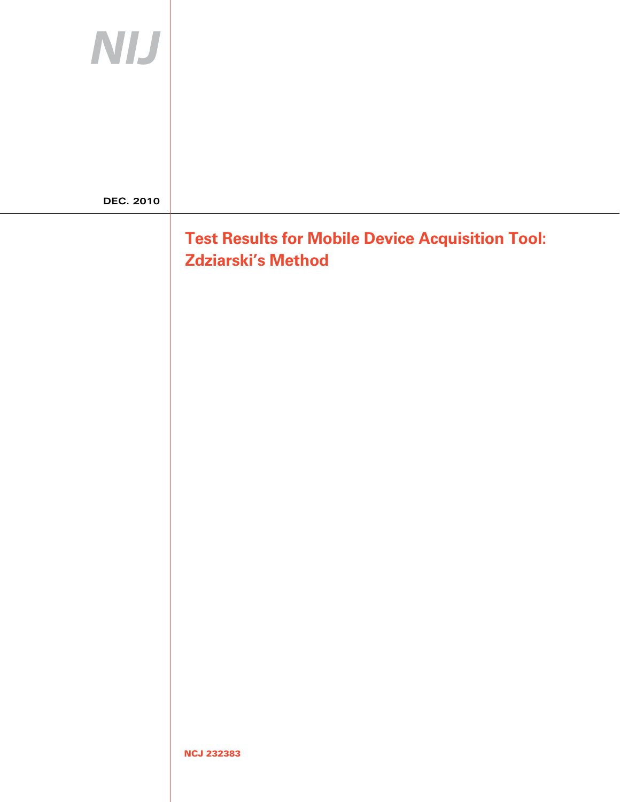| <b>NIJ</b>       |                                                                                      |
|------------------|--------------------------------------------------------------------------------------|
|                  |                                                                                      |
| <b>DEC. 2010</b> |                                                                                      |
|                  | <b>Test Results for Mobile Device Acquisition Tool:</b><br><b>Zdziarski's Method</b> |
|                  |                                                                                      |
|                  |                                                                                      |
|                  |                                                                                      |
|                  |                                                                                      |
|                  |                                                                                      |
|                  |                                                                                      |
|                  |                                                                                      |
|                  |                                                                                      |
|                  |                                                                                      |
|                  | <b>NCJ 232383</b>                                                                    |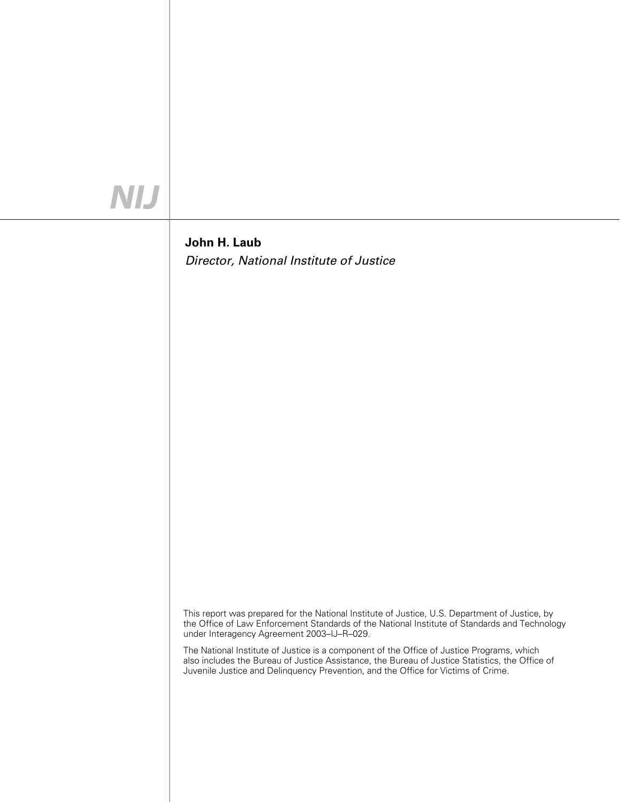## NIJ

#### **John H. Laub**  *Director, National Institute of Justice*

 This report was prepared for the National Institute of Justice, U.S. Department of Justice, by the Office of Law Enforcement Standards of the National Institute of Standards and Technology under Interagency Agreement 2003–IJ–R–029.

 The National Institute of Justice is a component of the Office of Justice Programs, which also includes the Bureau of Justice Assistance, the Bureau of Justice Statistics, the Office of Juvenile Justice and Delinquency Prevention, and the Office for Victims of Crime.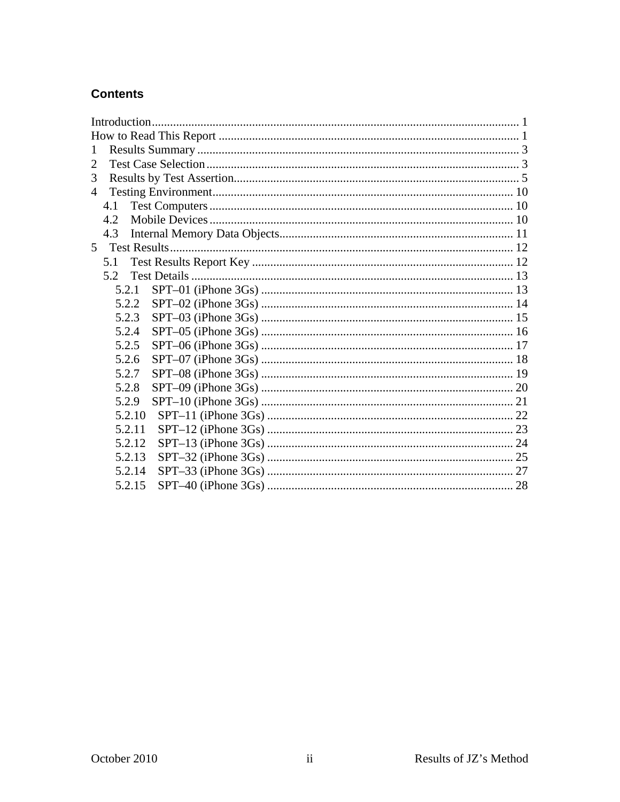#### **Contents**

| $\mathbf{1}$   |  |
|----------------|--|
| $\overline{2}$ |  |
| 3              |  |
| 4              |  |
| 4.1            |  |
| 4.2            |  |
| 4.3            |  |
| $5^{\circ}$    |  |
| 5.1            |  |
| 5.2            |  |
| 5.2.1          |  |
| 5.2.2          |  |
| 5.2.3          |  |
| 5.2.4          |  |
| 5.2.5          |  |
| 5.2.6          |  |
| 5.2.7          |  |
| 5.2.8          |  |
| 5.2.9          |  |
| 5.2.10         |  |
| 5.2.11         |  |
| 5.2.12         |  |
| 5.2.13         |  |
| 5.2.14         |  |
| 5.2.15         |  |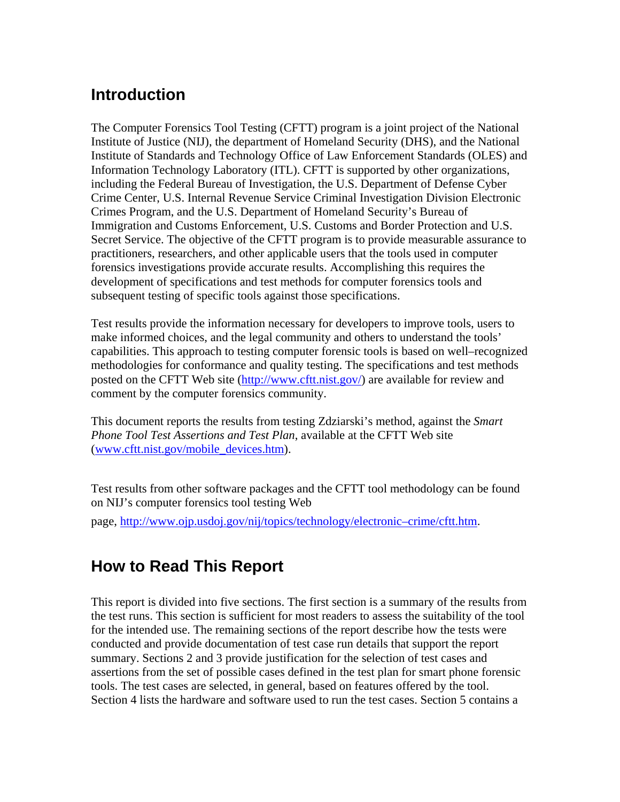#### <span id="page-5-0"></span>**Introduction**

The Computer Forensics Tool Testing (CFTT) program is a joint project of the National Institute of Justice (NIJ), the department of Homeland Security (DHS), and the National Institute of Standards and Technology Office of Law Enforcement Standards (OLES) and Information Technology Laboratory (ITL). CFTT is supported by other organizations, including the Federal Bureau of Investigation, the U.S. Department of Defense Cyber Crime Center, U.S. Internal Revenue Service Criminal Investigation Division Electronic Crimes Program, and the U.S. Department of Homeland Security's Bureau of Immigration and Customs Enforcement, U.S. Customs and Border Protection and U.S. Secret Service. The objective of the CFTT program is to provide measurable assurance to practitioners, researchers, and other applicable users that the tools used in computer forensics investigations provide accurate results. Accomplishing this requires the development of specifications and test methods for computer forensics tools and subsequent testing of specific tools against those specifications.

Test results provide the information necessary for developers to improve tools, users to make informed choices, and the legal community and others to understand the tools' capabilities. This approach to testing computer forensic tools is based on well–recognized methodologies for conformance and quality testing. The specifications and test methods posted on the CFTT Web site ([http://www.cftt.nist.gov/\)](http://www.cftt.nist.gov/) are available for review and comment by the computer forensics community.

This document reports the results from testing Zdziarski's method, against the *Smart Phone Tool Test Assertions and Test Plan*, available at the CFTT Web site ([www.cftt.nist.gov/mobile\\_devices.htm\)](http://www.cftt.nist.gov/mobile_devices.htm).

Test results from other software packages and the CFTT tool methodology can be found on NIJ's computer forensics tool testing Web

page, [http://www.ojp.usdoj.gov/nij/topics/technology/electronic–crime/cftt.h](http://www.ojp.usdoj.gov/nij/topics/technology/electronic-crime/cftt.htm)tm.

### **How to Read This Report**

This report is divided into five sections. The first section is a summary of the results from the test runs. This section is sufficient for most readers to assess the suitability of the tool for the intended use. The remaining sections of the report describe how the tests were conducted and provide documentation of test case run details that support the report summary. Sections 2 and 3 provide justification for the selection of test cases and assertions from the set of possible cases defined in the test plan for smart phone forensic tools. The test cases are selected, in general, based on features offered by the tool. Section 4 lists the hardware and software used to run the test cases. Section 5 contains a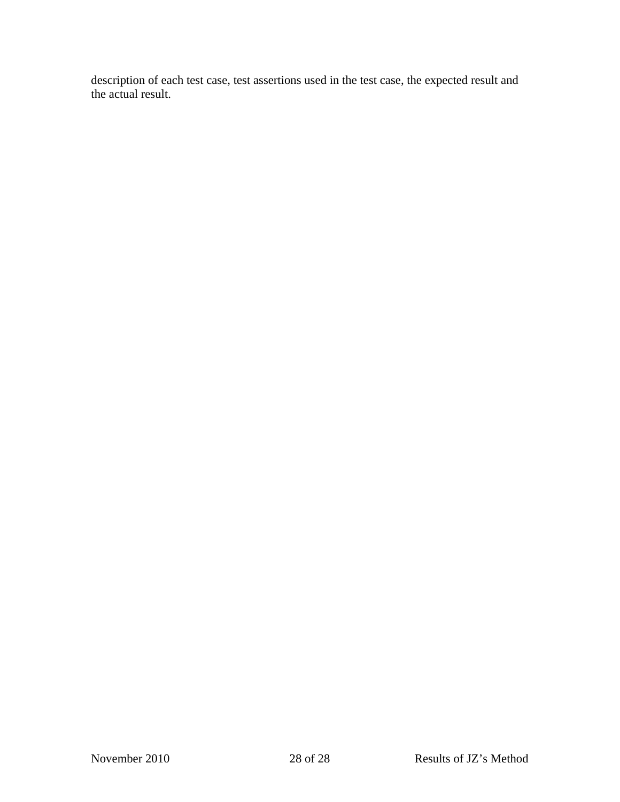description of each test case, test assertions used in the test case, the expected result and the actual result.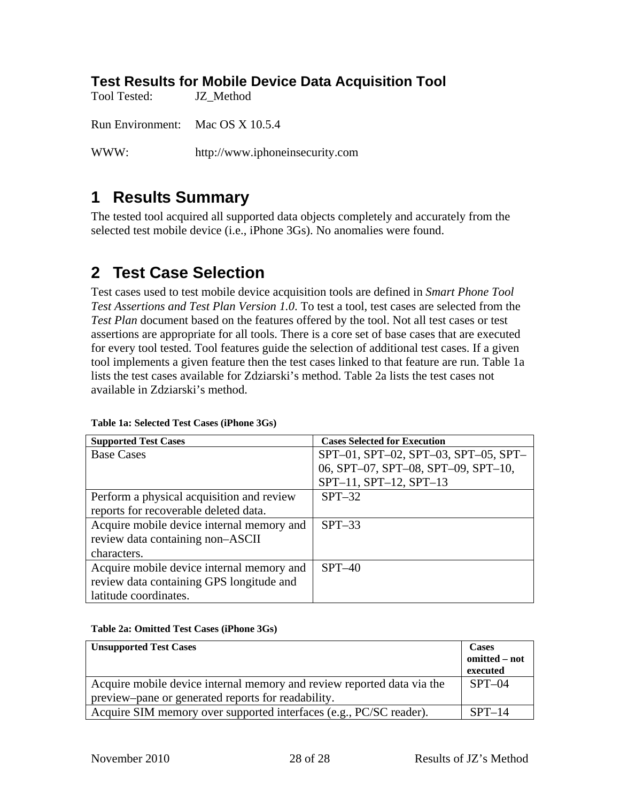#### <span id="page-7-0"></span>**Test Results for Mobile Device Data Acquisition Tool**

Tool Tested: JZ\_Method

Run Environment: Mac OS X 10.5.4

WWW: http://www.iphoneinsecurity.com

#### **1 Results Summary**

The tested tool acquired all supported data objects completely and accurately from the selected test mobile device (i.e., iPhone 3Gs). No anomalies were found.

#### **2 Test Case Selection**

Test cases used to test mobile device acquisition tools are defined in *Smart Phone Tool Test Assertions and Test Plan Version 1.0*. To test a tool, test cases are selected from the *Test Plan* document based on the features offered by the tool. Not all test cases or test assertions are appropriate for all tools. There is a core set of base cases that are executed for every tool tested. Tool features guide the selection of additional test cases. If a given tool implements a given feature then the test cases linked to that feature are run. Table 1a lists the test cases available for Zdziarski's method. Table 2a lists the test cases not available in Zdziarski's method.

| <b>Supported Test Cases</b>               | <b>Cases Selected for Execution</b>  |
|-------------------------------------------|--------------------------------------|
| <b>Base Cases</b>                         | SPT-01, SPT-02, SPT-03, SPT-05, SPT- |
|                                           | 06, SPT-07, SPT-08, SPT-09, SPT-10,  |
|                                           | SPT-11, SPT-12, SPT-13               |
| Perform a physical acquisition and review | $SPT-32$                             |
| reports for recoverable deleted data.     |                                      |
| Acquire mobile device internal memory and | $SPT-33$                             |
| review data containing non-ASCII          |                                      |
| characters.                               |                                      |
| Acquire mobile device internal memory and | $SPT-40$                             |
| review data containing GPS longitude and  |                                      |
| latitude coordinates.                     |                                      |

#### **Table 1a: Selected Test Cases (iPhone 3Gs)**

#### **Table 2a: Omitted Test Cases (iPhone 3Gs)**

| <b>Unsupported Test Cases</b>                                          | <b>Cases</b><br>omitted – not<br>executed |
|------------------------------------------------------------------------|-------------------------------------------|
| Acquire mobile device internal memory and review reported data via the | $SPT-04$                                  |
| preview-pane or generated reports for readability.                     |                                           |
| Acquire SIM memory over supported interfaces (e.g., PC/SC reader).     | $SPT-14$                                  |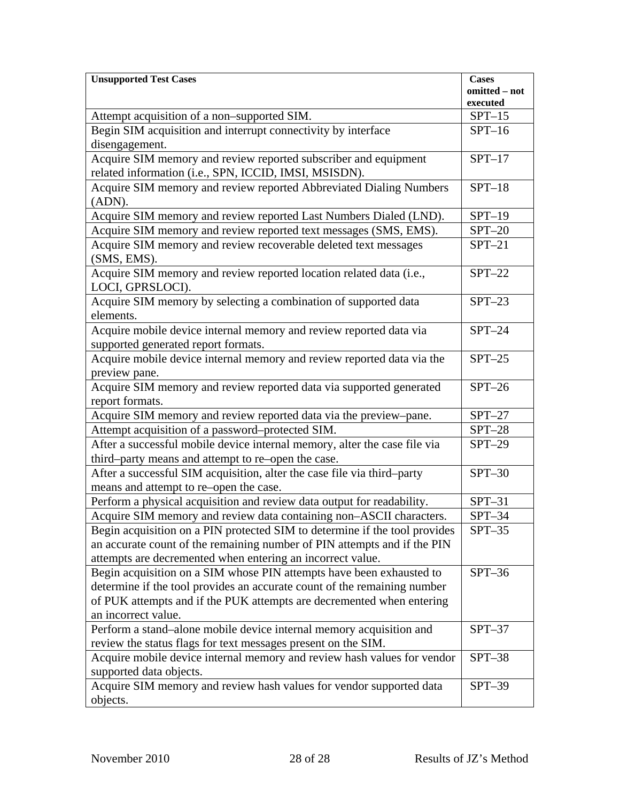| <b>Unsupported Test Cases</b>                                                                                                                                                                                                                    | <b>Cases</b>         |
|--------------------------------------------------------------------------------------------------------------------------------------------------------------------------------------------------------------------------------------------------|----------------------|
|                                                                                                                                                                                                                                                  | omitted - not        |
|                                                                                                                                                                                                                                                  | executed             |
| Attempt acquisition of a non-supported SIM.                                                                                                                                                                                                      | $SPT-15$<br>$SPT-16$ |
| Begin SIM acquisition and interrupt connectivity by interface                                                                                                                                                                                    |                      |
| disengagement.                                                                                                                                                                                                                                   |                      |
| Acquire SIM memory and review reported subscriber and equipment<br>related information (i.e., SPN, ICCID, IMSI, MSISDN).                                                                                                                         | $SPT-17$             |
| Acquire SIM memory and review reported Abbreviated Dialing Numbers<br>(ADN).                                                                                                                                                                     | $SPT-18$             |
| Acquire SIM memory and review reported Last Numbers Dialed (LND).                                                                                                                                                                                | $SPT-19$             |
| Acquire SIM memory and review reported text messages (SMS, EMS).                                                                                                                                                                                 | $SPT-20$             |
| Acquire SIM memory and review recoverable deleted text messages<br>(SMS, EMS).                                                                                                                                                                   | $SPT-21$             |
| Acquire SIM memory and review reported location related data (i.e.,<br>LOCI, GPRSLOCI).                                                                                                                                                          | $SPT-22$             |
| Acquire SIM memory by selecting a combination of supported data<br>elements.                                                                                                                                                                     | $SPT-23$             |
| Acquire mobile device internal memory and review reported data via<br>supported generated report formats.                                                                                                                                        | $SPT-24$             |
| Acquire mobile device internal memory and review reported data via the<br>preview pane.                                                                                                                                                          | $SPT-25$             |
| Acquire SIM memory and review reported data via supported generated<br>report formats.                                                                                                                                                           | $SPT-26$             |
| Acquire SIM memory and review reported data via the preview-pane.                                                                                                                                                                                | $SPT-27$             |
| Attempt acquisition of a password-protected SIM.                                                                                                                                                                                                 | $SPT-28$             |
| After a successful mobile device internal memory, alter the case file via<br>third-party means and attempt to re-open the case.                                                                                                                  | $SPT-29$             |
| After a successful SIM acquisition, alter the case file via third-party<br>means and attempt to re-open the case.                                                                                                                                | $SPT-30$             |
| Perform a physical acquisition and review data output for readability.                                                                                                                                                                           | $SPT-31$             |
| Acquire SIM memory and review data containing non-ASCII characters.                                                                                                                                                                              | $SPT-34$             |
| Begin acquisition on a PIN protected SIM to determine if the tool provides<br>an accurate count of the remaining number of PIN attempts and if the PIN<br>attempts are decremented when entering an incorrect value.                             | $SPT-35$             |
| Begin acquisition on a SIM whose PIN attempts have been exhausted to<br>determine if the tool provides an accurate count of the remaining number<br>of PUK attempts and if the PUK attempts are decremented when entering<br>an incorrect value. | $SPT-36$             |
| Perform a stand-alone mobile device internal memory acquisition and<br>review the status flags for text messages present on the SIM.                                                                                                             | $SPT-37$             |
| Acquire mobile device internal memory and review hash values for vendor<br>supported data objects.                                                                                                                                               | $SPT-38$             |
| Acquire SIM memory and review hash values for vendor supported data<br>objects.                                                                                                                                                                  | $SPT-39$             |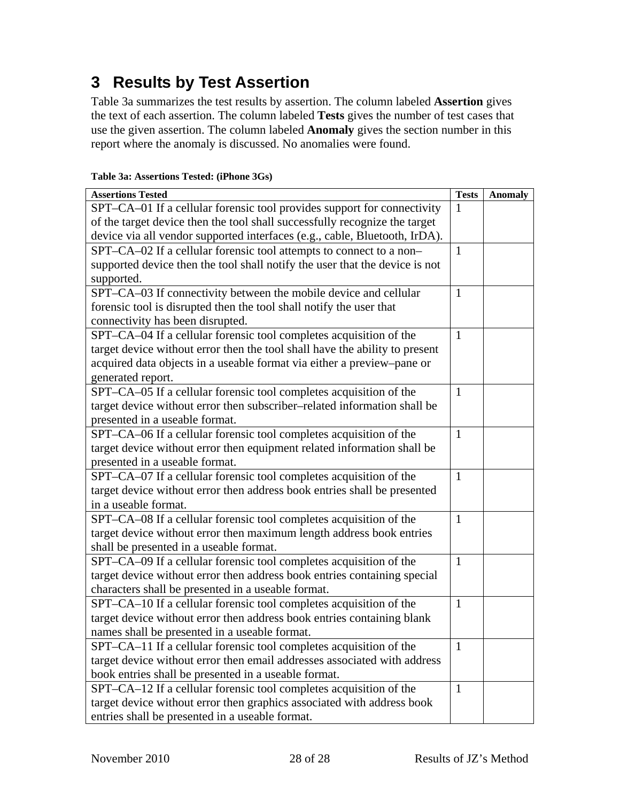## <span id="page-9-0"></span>**3 Results by Test Assertion**

Table 3a summarizes the test results by assertion. The column labeled **Assertion** gives the text of each assertion. The column labeled **Tests** gives the number of test cases that use the given assertion. The column labeled **Anomaly** gives the section number in this report where the anomaly is discussed. No anomalies were found.

| <b>Assertions Tested</b>                                                    | <b>Tests</b> | <b>Anomaly</b> |
|-----------------------------------------------------------------------------|--------------|----------------|
| SPT-CA-01 If a cellular forensic tool provides support for connectivity     | $\mathbf{1}$ |                |
| of the target device then the tool shall successfully recognize the target  |              |                |
| device via all vendor supported interfaces (e.g., cable, Bluetooth, IrDA).  |              |                |
| SPT-CA-02 If a cellular forensic tool attempts to connect to a non-         | $\mathbf{1}$ |                |
| supported device then the tool shall notify the user that the device is not |              |                |
| supported.                                                                  |              |                |
| SPT–CA–03 If connectivity between the mobile device and cellular            | $\mathbf{1}$ |                |
| forensic tool is disrupted then the tool shall notify the user that         |              |                |
| connectivity has been disrupted.                                            |              |                |
| SPT-CA-04 If a cellular forensic tool completes acquisition of the          | $\mathbf{1}$ |                |
| target device without error then the tool shall have the ability to present |              |                |
| acquired data objects in a useable format via either a preview-pane or      |              |                |
| generated report.                                                           |              |                |
| SPT-CA-05 If a cellular forensic tool completes acquisition of the          | $\mathbf{1}$ |                |
| target device without error then subscriber-related information shall be    |              |                |
| presented in a useable format.                                              |              |                |
| SPT-CA-06 If a cellular forensic tool completes acquisition of the          | $\mathbf{1}$ |                |
| target device without error then equipment related information shall be     |              |                |
| presented in a useable format.                                              |              |                |
| SPT-CA-07 If a cellular forensic tool completes acquisition of the          | $\mathbf{1}$ |                |
| target device without error then address book entries shall be presented    |              |                |
| in a useable format.                                                        |              |                |
| SPT-CA-08 If a cellular forensic tool completes acquisition of the          | $\mathbf{1}$ |                |
| target device without error then maximum length address book entries        |              |                |
| shall be presented in a useable format.                                     |              |                |
| SPT-CA-09 If a cellular forensic tool completes acquisition of the          | $\mathbf{1}$ |                |
| target device without error then address book entries containing special    |              |                |
| characters shall be presented in a useable format.                          |              |                |
| SPT-CA-10 If a cellular forensic tool completes acquisition of the          | $\mathbf{1}$ |                |
| target device without error then address book entries containing blank      |              |                |
| names shall be presented in a useable format.                               |              |                |
| SPT-CA-11 If a cellular forensic tool completes acquisition of the          | $\mathbf{1}$ |                |
| target device without error then email addresses associated with address    |              |                |
| book entries shall be presented in a useable format.                        |              |                |
| SPT-CA-12 If a cellular forensic tool completes acquisition of the          | $\mathbf{1}$ |                |
| target device without error then graphics associated with address book      |              |                |
| entries shall be presented in a useable format.                             |              |                |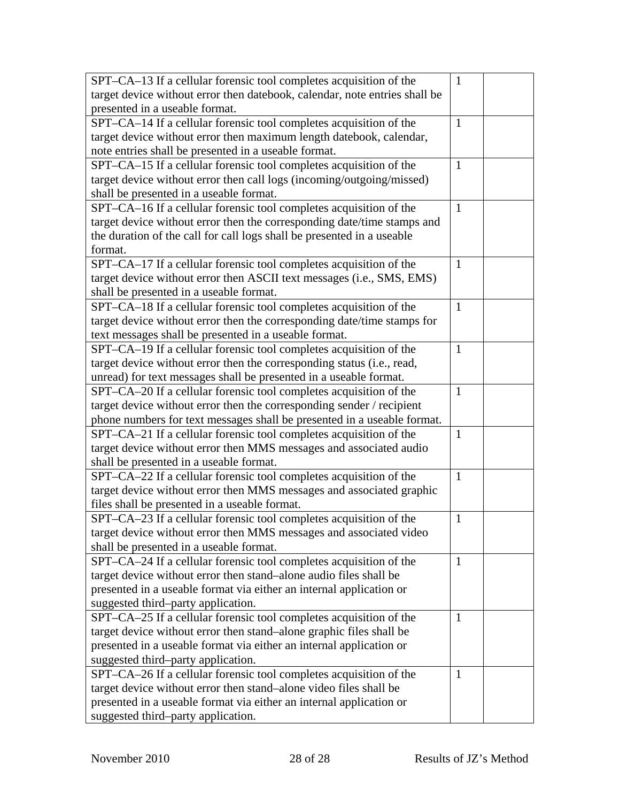| SPT-CA-13 If a cellular forensic tool completes acquisition of the         | $\mathbf{1}$ |  |
|----------------------------------------------------------------------------|--------------|--|
| target device without error then datebook, calendar, note entries shall be |              |  |
| presented in a useable format.                                             |              |  |
| SPT-CA-14 If a cellular forensic tool completes acquisition of the         | $\mathbf{1}$ |  |
| target device without error then maximum length datebook, calendar,        |              |  |
| note entries shall be presented in a useable format.                       |              |  |
| SPT–CA–15 If a cellular forensic tool completes acquisition of the         | $\mathbf{1}$ |  |
| target device without error then call logs (incoming/outgoing/missed)      |              |  |
| shall be presented in a useable format.                                    |              |  |
| SPT–CA–16 If a cellular forensic tool completes acquisition of the         | $\mathbf{1}$ |  |
| target device without error then the corresponding date/time stamps and    |              |  |
| the duration of the call for call logs shall be presented in a useable     |              |  |
| format.                                                                    |              |  |
| SPT-CA-17 If a cellular forensic tool completes acquisition of the         | $\mathbf{1}$ |  |
| target device without error then ASCII text messages (i.e., SMS, EMS)      |              |  |
| shall be presented in a useable format.                                    |              |  |
| SPT-CA-18 If a cellular forensic tool completes acquisition of the         | $\mathbf{1}$ |  |
| target device without error then the corresponding date/time stamps for    |              |  |
| text messages shall be presented in a useable format.                      |              |  |
| SPT-CA-19 If a cellular forensic tool completes acquisition of the         | $\mathbf{1}$ |  |
| target device without error then the corresponding status (i.e., read,     |              |  |
| unread) for text messages shall be presented in a useable format.          |              |  |
| SPT-CA-20 If a cellular forensic tool completes acquisition of the         | $\mathbf{1}$ |  |
| target device without error then the corresponding sender / recipient      |              |  |
| phone numbers for text messages shall be presented in a useable format.    |              |  |
| SPT-CA-21 If a cellular forensic tool completes acquisition of the         | $\mathbf{1}$ |  |
| target device without error then MMS messages and associated audio         |              |  |
| shall be presented in a useable format.                                    |              |  |
| SPT-CA-22 If a cellular forensic tool completes acquisition of the         | $\mathbf{1}$ |  |
| target device without error then MMS messages and associated graphic       |              |  |
| files shall be presented in a useable format.                              |              |  |
| SPT–CA–23 If a cellular forensic tool completes acquisition of the         | $\mathbf{1}$ |  |
| target device without error then MMS messages and associated video         |              |  |
| shall be presented in a useable format.                                    |              |  |
| SPT–CA–24 If a cellular forensic tool completes acquisition of the         | $\mathbf{1}$ |  |
| target device without error then stand-alone audio files shall be          |              |  |
| presented in a useable format via either an internal application or        |              |  |
| suggested third-party application.                                         |              |  |
| SPT-CA-25 If a cellular forensic tool completes acquisition of the         | $\mathbf{1}$ |  |
| target device without error then stand-alone graphic files shall be        |              |  |
| presented in a useable format via either an internal application or        |              |  |
| suggested third-party application.                                         |              |  |
| SPT-CA-26 If a cellular forensic tool completes acquisition of the         | $\mathbf{1}$ |  |
| target device without error then stand-alone video files shall be          |              |  |
| presented in a useable format via either an internal application or        |              |  |
| suggested third-party application.                                         |              |  |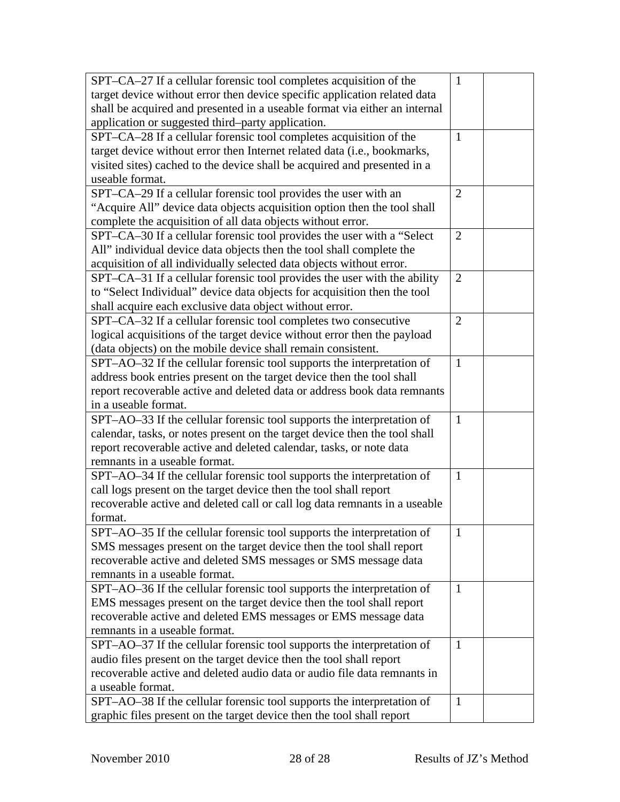| SPT-CA-27 If a cellular forensic tool completes acquisition of the         | $\mathbf{1}$   |  |
|----------------------------------------------------------------------------|----------------|--|
| target device without error then device specific application related data  |                |  |
| shall be acquired and presented in a useable format via either an internal |                |  |
| application or suggested third-party application.                          |                |  |
| SPT-CA-28 If a cellular forensic tool completes acquisition of the         | $\mathbf{1}$   |  |
| target device without error then Internet related data (i.e., bookmarks,   |                |  |
| visited sites) cached to the device shall be acquired and presented in a   |                |  |
| useable format.                                                            |                |  |
| SPT-CA-29 If a cellular forensic tool provides the user with an            | $\overline{2}$ |  |
| "Acquire All" device data objects acquisition option then the tool shall   |                |  |
| complete the acquisition of all data objects without error.                |                |  |
| SPT-CA-30 If a cellular forensic tool provides the user with a "Select"    | $\overline{2}$ |  |
| All" individual device data objects then the tool shall complete the       |                |  |
| acquisition of all individually selected data objects without error.       |                |  |
| SPT-CA-31 If a cellular forensic tool provides the user with the ability   | $\overline{2}$ |  |
| to "Select Individual" device data objects for acquisition then the tool   |                |  |
| shall acquire each exclusive data object without error.                    |                |  |
| SPT-CA-32 If a cellular forensic tool completes two consecutive            | $\overline{2}$ |  |
| logical acquisitions of the target device without error then the payload   |                |  |
| (data objects) on the mobile device shall remain consistent.               |                |  |
| SPT-AO-32 If the cellular forensic tool supports the interpretation of     | $\mathbf{1}$   |  |
| address book entries present on the target device then the tool shall      |                |  |
| report recoverable active and deleted data or address book data remnants   |                |  |
| in a useable format.                                                       |                |  |
| SPT-AO-33 If the cellular forensic tool supports the interpretation of     | $\mathbf{1}$   |  |
| calendar, tasks, or notes present on the target device then the tool shall |                |  |
| report recoverable active and deleted calendar, tasks, or note data        |                |  |
| remnants in a useable format.                                              |                |  |
| SPT-AO-34 If the cellular forensic tool supports the interpretation of     | $\mathbf{1}$   |  |
| call logs present on the target device then the tool shall report          |                |  |
| recoverable active and deleted call or call log data remnants in a useable |                |  |
| format.                                                                    |                |  |
| SPT-AO-35 If the cellular forensic tool supports the interpretation of     | $\mathbf{1}$   |  |
| SMS messages present on the target device then the tool shall report       |                |  |
| recoverable active and deleted SMS messages or SMS message data            |                |  |
| remnants in a useable format.                                              |                |  |
| SPT-AO-36 If the cellular forensic tool supports the interpretation of     | $\mathbf{1}$   |  |
| EMS messages present on the target device then the tool shall report       |                |  |
| recoverable active and deleted EMS messages or EMS message data            |                |  |
| remnants in a useable format.                                              |                |  |
| SPT-AO-37 If the cellular forensic tool supports the interpretation of     | -1             |  |
| audio files present on the target device then the tool shall report        |                |  |
| recoverable active and deleted audio data or audio file data remnants in   |                |  |
| a useable format.                                                          |                |  |
| SPT-AO-38 If the cellular forensic tool supports the interpretation of     | $\mathbf{1}$   |  |
| graphic files present on the target device then the tool shall report      |                |  |
|                                                                            |                |  |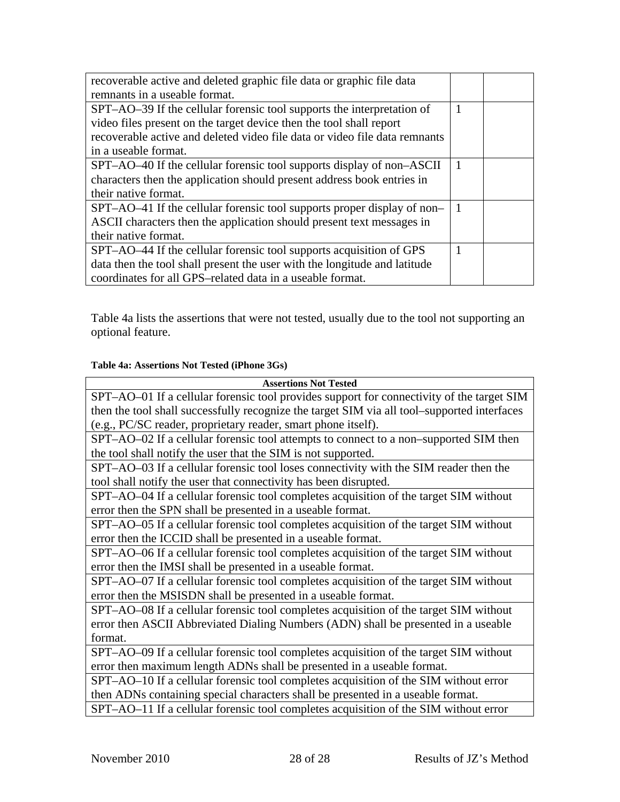| recoverable active and deleted graphic file data or graphic file data      |                |  |
|----------------------------------------------------------------------------|----------------|--|
| remnants in a useable format.                                              |                |  |
| SPT-AO-39 If the cellular forensic tool supports the interpretation of     | 1              |  |
| video files present on the target device then the tool shall report        |                |  |
| recoverable active and deleted video file data or video file data remnants |                |  |
| in a useable format.                                                       |                |  |
| SPT-AO-40 If the cellular forensic tool supports display of non-ASCII      |                |  |
| characters then the application should present address book entries in     |                |  |
| their native format.                                                       |                |  |
| SPT-AO-41 If the cellular forensic tool supports proper display of non-    | $\overline{1}$ |  |
| ASCII characters then the application should present text messages in      |                |  |
| their native format.                                                       |                |  |
| SPT-AO-44 If the cellular forensic tool supports acquisition of GPS        |                |  |
| data then the tool shall present the user with the longitude and latitude  |                |  |
| coordinates for all GPS-related data in a useable format.                  |                |  |

[Table](#page-12-0) 4a lists the assertions that were not tested, usually due to the tool not supporting an optional feature.

#### **Table 4a: Assertions Not Tested (iPhone 3Gs)**

<span id="page-12-0"></span>

| <b>Assertions Not Tested</b>                                                                |  |  |  |
|---------------------------------------------------------------------------------------------|--|--|--|
| SPT-AO-01 If a cellular forensic tool provides support for connectivity of the target SIM   |  |  |  |
| then the tool shall successfully recognize the target SIM via all tool-supported interfaces |  |  |  |
| (e.g., PC/SC reader, proprietary reader, smart phone itself).                               |  |  |  |
| SPT-AO-02 If a cellular forensic tool attempts to connect to a non-supported SIM then       |  |  |  |
| the tool shall notify the user that the SIM is not supported.                               |  |  |  |
| SPT-AO-03 If a cellular forensic tool loses connectivity with the SIM reader then the       |  |  |  |
| tool shall notify the user that connectivity has been disrupted.                            |  |  |  |
| SPT-AO-04 If a cellular forensic tool completes acquisition of the target SIM without       |  |  |  |
| error then the SPN shall be presented in a useable format.                                  |  |  |  |
| SPT-AO-05 If a cellular forensic tool completes acquisition of the target SIM without       |  |  |  |
| error then the ICCID shall be presented in a useable format.                                |  |  |  |
| SPT-AO-06 If a cellular forensic tool completes acquisition of the target SIM without       |  |  |  |
| error then the IMSI shall be presented in a useable format.                                 |  |  |  |
| SPT-AO-07 If a cellular forensic tool completes acquisition of the target SIM without       |  |  |  |
| error then the MSISDN shall be presented in a useable format.                               |  |  |  |
| SPT-AO-08 If a cellular forensic tool completes acquisition of the target SIM without       |  |  |  |
| error then ASCII Abbreviated Dialing Numbers (ADN) shall be presented in a useable          |  |  |  |
| format.                                                                                     |  |  |  |
| SPT-AO-09 If a cellular forensic tool completes acquisition of the target SIM without       |  |  |  |
| error then maximum length ADNs shall be presented in a useable format.                      |  |  |  |
| SPT-AO-10 If a cellular forensic tool completes acquisition of the SIM without error        |  |  |  |
| then ADNs containing special characters shall be presented in a useable format.             |  |  |  |
| SPT-AO-11 If a cellular forensic tool completes acquisition of the SIM without error        |  |  |  |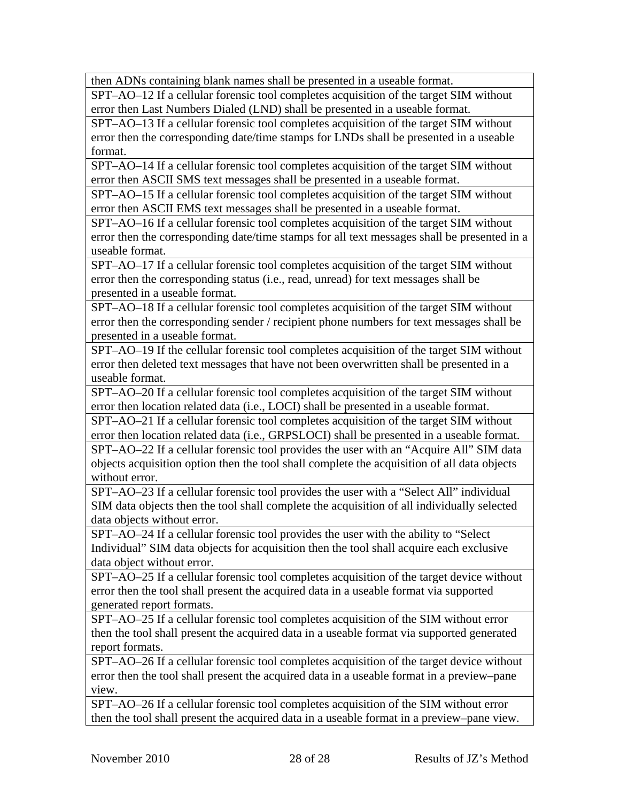then ADNs containing blank names shall be presented in a useable format.

SPT–AO–12 If a cellular forensic tool completes acquisition of the target SIM without error then Last Numbers Dialed (LND) shall be presented in a useable format.

SPT–AO–13 If a cellular forensic tool completes acquisition of the target SIM without error then the corresponding date/time stamps for LNDs shall be presented in a useable format.

SPT–AO–14 If a cellular forensic tool completes acquisition of the target SIM without error then ASCII SMS text messages shall be presented in a useable format.

SPT–AO–15 If a cellular forensic tool completes acquisition of the target SIM without error then ASCII EMS text messages shall be presented in a useable format.

SPT–AO–16 If a cellular forensic tool completes acquisition of the target SIM without error then the corresponding date/time stamps for all text messages shall be presented in a useable format.

SPT–AO–17 If a cellular forensic tool completes acquisition of the target SIM without error then the corresponding status (i.e., read, unread) for text messages shall be presented in a useable format.

SPT–AO–18 If a cellular forensic tool completes acquisition of the target SIM without error then the corresponding sender / recipient phone numbers for text messages shall be presented in a useable format.

SPT–AO–19 If the cellular forensic tool completes acquisition of the target SIM without error then deleted text messages that have not been overwritten shall be presented in a useable format.

SPT–AO–20 If a cellular forensic tool completes acquisition of the target SIM without error then location related data (i.e., LOCI) shall be presented in a useable format.

SPT–AO–21 If a cellular forensic tool completes acquisition of the target SIM without error then location related data (i.e., GRPSLOCI) shall be presented in a useable format. SPT–AO–22 If a cellular forensic tool provides the user with an "Acquire All" SIM data objects acquisition option then the tool shall complete the acquisition of all data objects without error.

SPT–AO–23 If a cellular forensic tool provides the user with a "Select All" individual SIM data objects then the tool shall complete the acquisition of all individually selected data objects without error.

SPT–AO–24 If a cellular forensic tool provides the user with the ability to "Select Individual" SIM data objects for acquisition then the tool shall acquire each exclusive data object without error.

SPT–AO–25 If a cellular forensic tool completes acquisition of the target device without error then the tool shall present the acquired data in a useable format via supported generated report formats.

SPT–AO–25 If a cellular forensic tool completes acquisition of the SIM without error then the tool shall present the acquired data in a useable format via supported generated report formats.

SPT–AO–26 If a cellular forensic tool completes acquisition of the target device without error then the tool shall present the acquired data in a useable format in a preview–pane view.

SPT–AO–26 If a cellular forensic tool completes acquisition of the SIM without error then the tool shall present the acquired data in a useable format in a preview–pane view.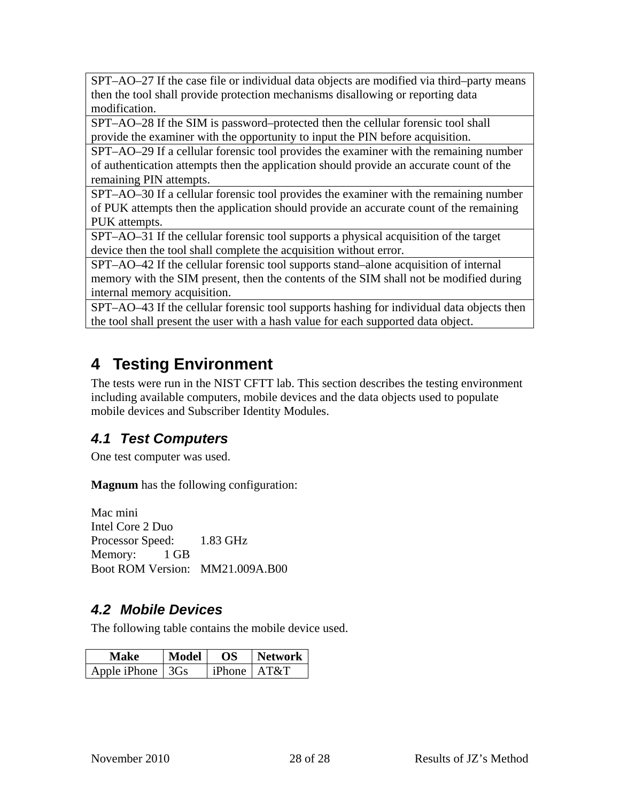<span id="page-14-0"></span>SPT–AO–27 If the case file or individual data objects are modified via third–party means then the tool shall provide protection mechanisms disallowing or reporting data modification.

SPT–AO–28 If the SIM is password–protected then the cellular forensic tool shall provide the examiner with the opportunity to input the PIN before acquisition.

SPT–AO–29 If a cellular forensic tool provides the examiner with the remaining number of authentication attempts then the application should provide an accurate count of the remaining PIN attempts.

SPT–AO–30 If a cellular forensic tool provides the examiner with the remaining number of PUK attempts then the application should provide an accurate count of the remaining PUK attempts.

SPT–AO–31 If the cellular forensic tool supports a physical acquisition of the target device then the tool shall complete the acquisition without error.

SPT–AO–42 If the cellular forensic tool supports stand–alone acquisition of internal memory with the SIM present, then the contents of the SIM shall not be modified during internal memory acquisition.

SPT–AO–43 If the cellular forensic tool supports hashing for individual data objects then the tool shall present the user with a hash value for each supported data object.

## **4 Testing Environment**

The tests were run in the NIST CFTT lab. This section describes the testing environment including available computers, mobile devices and the data objects used to populate mobile devices and Subscriber Identity Modules.

#### *4.1 Test Computers*

One test computer was used.

**Magnum** has the following configuration:

Mac mini Intel Core 2 Duo Processor Speed: 1.83 GHz Memory: 1 GB Boot ROM Version: MM21.009A.B00

#### *4.2 Mobile Devices*

The following table contains the mobile device used.

| Make                     | Model | OS.                | <b>Network</b> |
|--------------------------|-------|--------------------|----------------|
| Apple iPhone $\vert$ 3Gs |       | $iPhone \mid AT&T$ |                |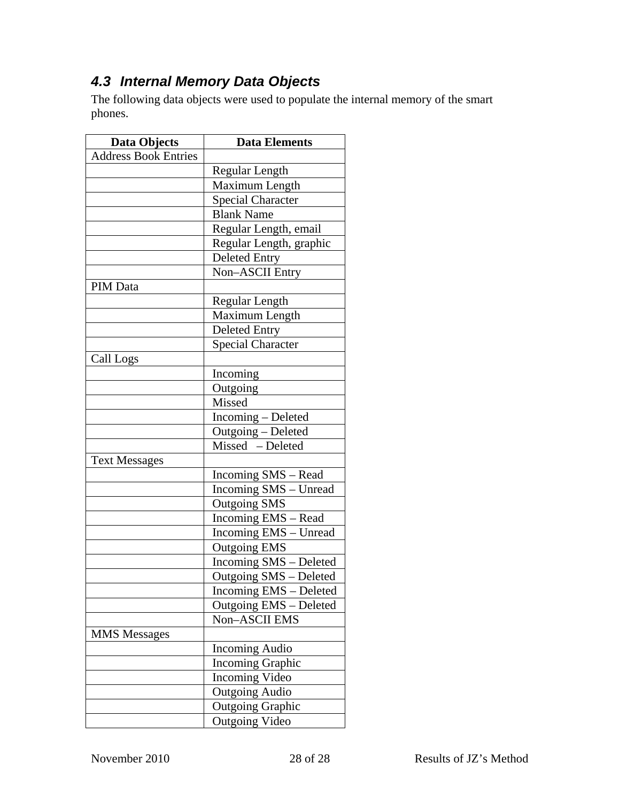#### <span id="page-15-0"></span>*4.3 Internal Memory Data Objects*

The following data objects were used to populate the internal memory of the smart phones.

| <b>Data Objects</b>         | <b>Data Elements</b>     |
|-----------------------------|--------------------------|
| <b>Address Book Entries</b> |                          |
|                             | Regular Length           |
|                             | Maximum Length           |
|                             | <b>Special Character</b> |
|                             | <b>Blank Name</b>        |
|                             | Regular Length, email    |
|                             | Regular Length, graphic  |
|                             | <b>Deleted Entry</b>     |
|                             | Non-ASCII Entry          |
| PIM Data                    |                          |
|                             | Regular Length           |
|                             | Maximum Length           |
|                             | <b>Deleted Entry</b>     |
|                             | <b>Special Character</b> |
| Call Logs                   |                          |
|                             | Incoming                 |
|                             | Outgoing                 |
|                             | Missed                   |
|                             | Incoming - Deleted       |
|                             | Outgoing - Deleted       |
|                             | Missed - Deleted         |
| <b>Text Messages</b>        |                          |
|                             | Incoming SMS - Read      |
|                             | Incoming SMS - Unread    |
|                             | <b>Outgoing SMS</b>      |
|                             | Incoming EMS - Read      |
|                             | Incoming EMS - Unread    |
|                             | Outgoing EMS             |
|                             | Incoming SMS - Deleted   |
|                             | Outgoing SMS - Deleted   |
|                             | Incoming EMS - Deleted   |
|                             | Outgoing EMS - Deleted   |
|                             | <b>Non-ASCII EMS</b>     |
| <b>MMS</b> Messages         |                          |
|                             | <b>Incoming Audio</b>    |
|                             | <b>Incoming Graphic</b>  |
|                             | <b>Incoming Video</b>    |
|                             | <b>Outgoing Audio</b>    |
|                             | <b>Outgoing Graphic</b>  |
|                             | Outgoing Video           |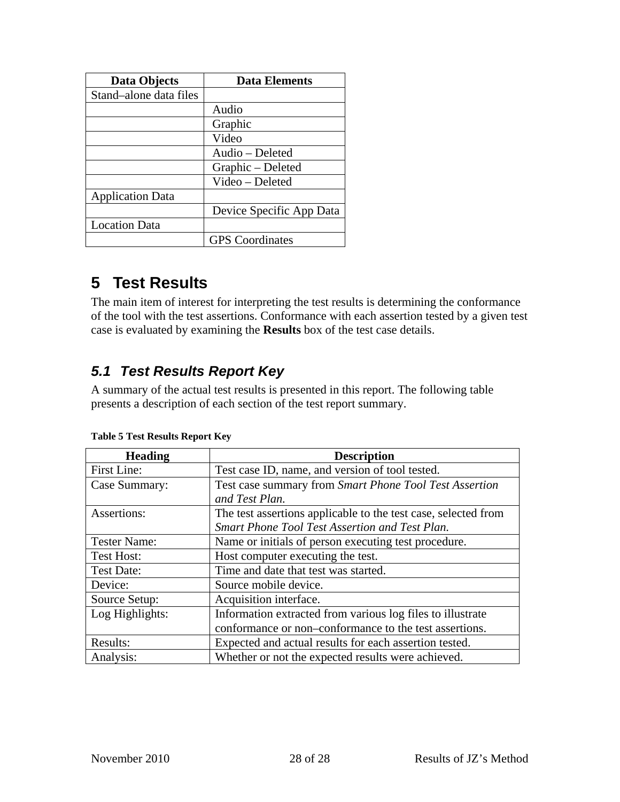<span id="page-16-0"></span>

| <b>Data Objects</b>     | <b>Data Elements</b>     |
|-------------------------|--------------------------|
| Stand-alone data files  |                          |
|                         | Audio                    |
|                         | Graphic                  |
|                         | Video                    |
|                         | Audio - Deleted          |
|                         | Graphic – Deleted        |
|                         | Video - Deleted          |
| <b>Application Data</b> |                          |
|                         | Device Specific App Data |
| <b>Location Data</b>    |                          |
|                         | <b>GPS</b> Coordinates   |

### **5 Test Results**

The main item of interest for interpreting the test results is determining the conformance of the tool with the test assertions. Conformance with each assertion tested by a given test case is evaluated by examining the **Results** box of the test case details.

#### *5.1 Test Results Report Key*

A summary of the actual test results is presented in this report. The following table presents a description of each section of the test report summary.

| <b>Heading</b>      | <b>Description</b>                                             |
|---------------------|----------------------------------------------------------------|
| First Line:         | Test case ID, name, and version of tool tested.                |
| Case Summary:       | Test case summary from Smart Phone Tool Test Assertion         |
|                     | and Test Plan.                                                 |
| Assertions:         | The test assertions applicable to the test case, selected from |
|                     | Smart Phone Tool Test Assertion and Test Plan.                 |
| <b>Tester Name:</b> | Name or initials of person executing test procedure.           |
| <b>Test Host:</b>   | Host computer executing the test.                              |
| <b>Test Date:</b>   | Time and date that test was started.                           |
| Device:             | Source mobile device.                                          |
| Source Setup:       | Acquisition interface.                                         |
| Log Highlights:     | Information extracted from various log files to illustrate     |
|                     | conformance or non-conformance to the test assertions.         |
| Results:            | Expected and actual results for each assertion tested.         |
| Analysis:           | Whether or not the expected results were achieved.             |

|  |  | <b>Table 5 Test Results Report Key</b> |
|--|--|----------------------------------------|
|  |  |                                        |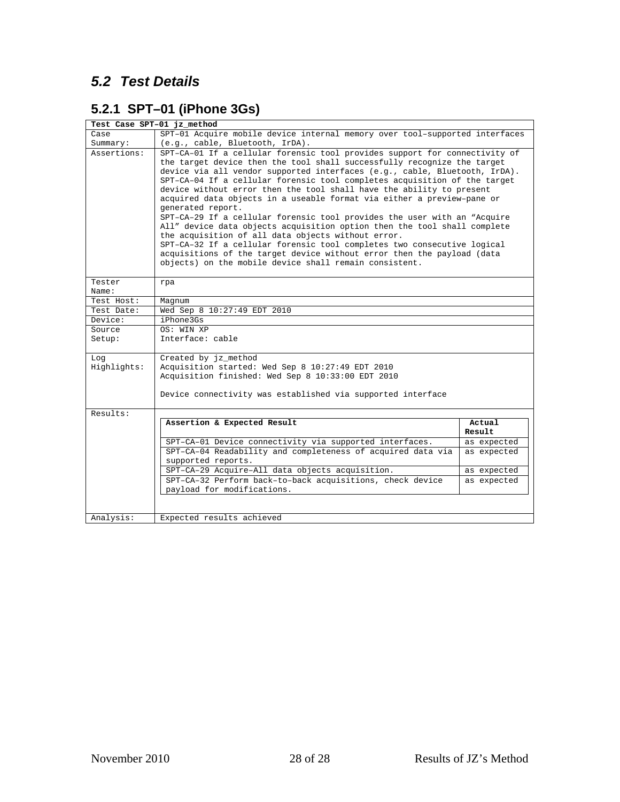#### <span id="page-17-0"></span>*5.2 Test Details*

#### **5.2.1 SPT–01 (iPhone 3Gs)**

|                 | Test Case SPT-01 jz_method                                                                                                                                                                                                                                                                                                                                                                                                                                                                                                                                                                                                                                                                                                                                                                                                                                                                                           |             |  |
|-----------------|----------------------------------------------------------------------------------------------------------------------------------------------------------------------------------------------------------------------------------------------------------------------------------------------------------------------------------------------------------------------------------------------------------------------------------------------------------------------------------------------------------------------------------------------------------------------------------------------------------------------------------------------------------------------------------------------------------------------------------------------------------------------------------------------------------------------------------------------------------------------------------------------------------------------|-------------|--|
| Case            | SPT-01 Acquire mobile device internal memory over tool-supported interfaces                                                                                                                                                                                                                                                                                                                                                                                                                                                                                                                                                                                                                                                                                                                                                                                                                                          |             |  |
| Summary:        | (e.g., cable, Bluetooth, IrDA).                                                                                                                                                                                                                                                                                                                                                                                                                                                                                                                                                                                                                                                                                                                                                                                                                                                                                      |             |  |
| Assertions:     | SPT-CA-01 If a cellular forensic tool provides support for connectivity of<br>the target device then the tool shall successfully recognize the target<br>device via all vendor supported interfaces (e.g., cable, Bluetooth, IrDA).<br>SPT-CA-04 If a cellular forensic tool completes acquisition of the target<br>device without error then the tool shall have the ability to present<br>acquired data objects in a useable format via either a preview-pane or<br>generated report.<br>SPT-CA-29 If a cellular forensic tool provides the user with an "Acquire<br>All" device data objects acquisition option then the tool shall complete<br>the acquisition of all data objects without error.<br>SPT-CA-32 If a cellular forensic tool completes two consecutive logical<br>acquisitions of the target device without error then the payload (data<br>objects) on the mobile device shall remain consistent. |             |  |
| Tester<br>Name: | rpa                                                                                                                                                                                                                                                                                                                                                                                                                                                                                                                                                                                                                                                                                                                                                                                                                                                                                                                  |             |  |
| Test Host:      | Magnum                                                                                                                                                                                                                                                                                                                                                                                                                                                                                                                                                                                                                                                                                                                                                                                                                                                                                                               |             |  |
| Test Date:      | Wed Sep 8 10:27:49 EDT 2010                                                                                                                                                                                                                                                                                                                                                                                                                                                                                                                                                                                                                                                                                                                                                                                                                                                                                          |             |  |
| Device:         | iPhone3Gs                                                                                                                                                                                                                                                                                                                                                                                                                                                                                                                                                                                                                                                                                                                                                                                                                                                                                                            |             |  |
| Source          | OS: WIN XP                                                                                                                                                                                                                                                                                                                                                                                                                                                                                                                                                                                                                                                                                                                                                                                                                                                                                                           |             |  |
| Setup:          | Interface: cable                                                                                                                                                                                                                                                                                                                                                                                                                                                                                                                                                                                                                                                                                                                                                                                                                                                                                                     |             |  |
| Log             | Created by jz_method                                                                                                                                                                                                                                                                                                                                                                                                                                                                                                                                                                                                                                                                                                                                                                                                                                                                                                 |             |  |
| Highlights:     | Acquisition started: Wed Sep 8 10:27:49 EDT 2010<br>Acquisition finished: Wed Sep 8 10:33:00 EDT 2010                                                                                                                                                                                                                                                                                                                                                                                                                                                                                                                                                                                                                                                                                                                                                                                                                |             |  |
|                 | Device connectivity was established via supported interface                                                                                                                                                                                                                                                                                                                                                                                                                                                                                                                                                                                                                                                                                                                                                                                                                                                          |             |  |
| Results:        |                                                                                                                                                                                                                                                                                                                                                                                                                                                                                                                                                                                                                                                                                                                                                                                                                                                                                                                      |             |  |
|                 | Assertion & Expected Result                                                                                                                                                                                                                                                                                                                                                                                                                                                                                                                                                                                                                                                                                                                                                                                                                                                                                          | Actual      |  |
|                 |                                                                                                                                                                                                                                                                                                                                                                                                                                                                                                                                                                                                                                                                                                                                                                                                                                                                                                                      | Result      |  |
|                 | SPT-CA-01 Device connectivity via supported interfaces.                                                                                                                                                                                                                                                                                                                                                                                                                                                                                                                                                                                                                                                                                                                                                                                                                                                              | as expected |  |
|                 | SPT-CA-04 Readability and completeness of acquired data via<br>supported reports.                                                                                                                                                                                                                                                                                                                                                                                                                                                                                                                                                                                                                                                                                                                                                                                                                                    | as expected |  |
|                 | SPT-CA-29 Acquire-All data objects acquisition.                                                                                                                                                                                                                                                                                                                                                                                                                                                                                                                                                                                                                                                                                                                                                                                                                                                                      | as expected |  |
|                 | SPT-CA-32 Perform back-to-back acquisitions, check device<br>payload for modifications.                                                                                                                                                                                                                                                                                                                                                                                                                                                                                                                                                                                                                                                                                                                                                                                                                              | as expected |  |
|                 |                                                                                                                                                                                                                                                                                                                                                                                                                                                                                                                                                                                                                                                                                                                                                                                                                                                                                                                      |             |  |
| Analysis:       | Expected results achieved                                                                                                                                                                                                                                                                                                                                                                                                                                                                                                                                                                                                                                                                                                                                                                                                                                                                                            |             |  |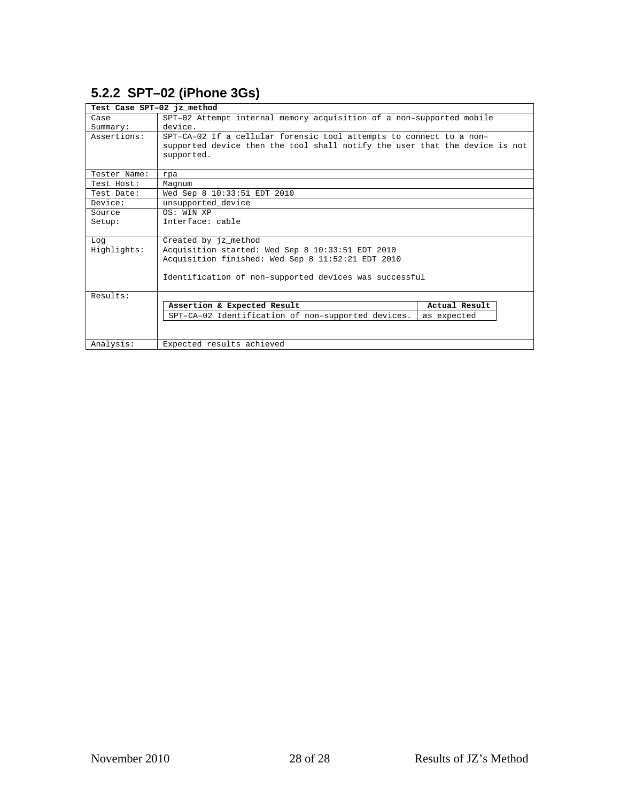#### <span id="page-18-0"></span>**5.2.2 SPT–02 (iPhone 3Gs)**

| Test Case SPT-02 jz method |                                                                             |               |
|----------------------------|-----------------------------------------------------------------------------|---------------|
| Case                       | SPT-02 Attempt internal memory acquisition of a non-supported mobile        |               |
| Summary:                   | device.                                                                     |               |
| Assertions:                | SPT-CA-02 If a cellular forensic tool attempts to connect to a non-         |               |
|                            | supported device then the tool shall notify the user that the device is not |               |
|                            | supported.                                                                  |               |
|                            |                                                                             |               |
| Tester Name:               | rpa                                                                         |               |
| Test Host:                 | Magnum                                                                      |               |
| Test Date:                 | Wed Sep 8 10:33:51 EDT 2010                                                 |               |
| Device:                    | unsupported device                                                          |               |
| Source                     | OS: WIN XP                                                                  |               |
| Setup:                     | Interface: cable                                                            |               |
|                            |                                                                             |               |
| Log                        | Created by jz_method                                                        |               |
| Highlights:                | Acquisition started: Wed Sep 8 10:33:51 EDT 2010                            |               |
|                            | Acquisition finished: Wed Sep 8 11:52:21 EDT 2010                           |               |
|                            |                                                                             |               |
|                            | Identification of non-supported devices was successful                      |               |
|                            |                                                                             |               |
| Results:                   |                                                                             |               |
|                            | Assertion & Expected Result                                                 | Actual Result |
|                            | SPT-CA-02 Identification of non-supported devices.                          | as expected   |
|                            |                                                                             |               |
|                            |                                                                             |               |
| Analysis:                  | Expected results achieved                                                   |               |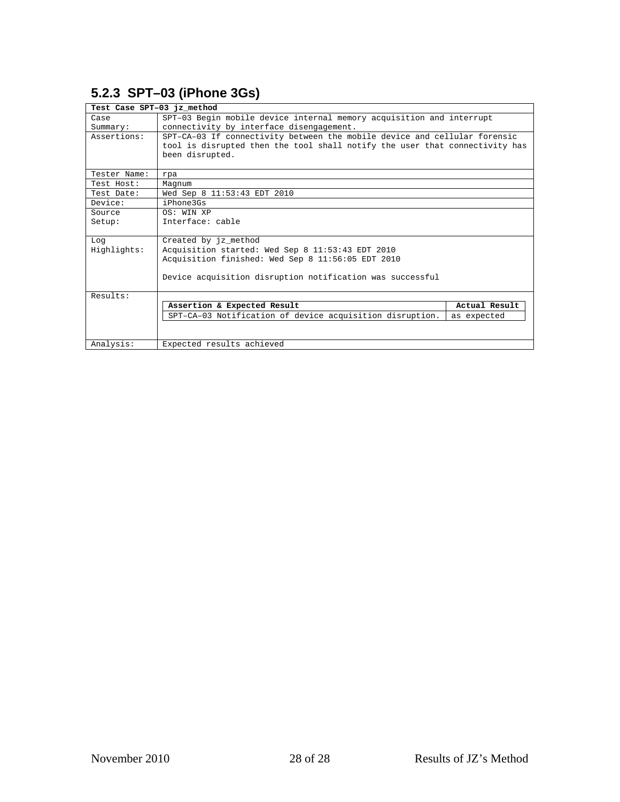#### <span id="page-19-0"></span>**5.2.3 SPT–03 (iPhone 3Gs)**

| Test Case SPT-03 jz method |                                                                             |               |
|----------------------------|-----------------------------------------------------------------------------|---------------|
| Case                       | SPT-03 Begin mobile device internal memory acquisition and interrupt        |               |
| Summary:                   | connectivity by interface disengagement.                                    |               |
| Assertions:                | SPT-CA-03 If connectivity between the mobile device and cellular forensic   |               |
|                            | tool is disrupted then the tool shall notify the user that connectivity has |               |
|                            | been disrupted.                                                             |               |
|                            |                                                                             |               |
| Tester Name:               | rpa                                                                         |               |
| Test Host:                 | Magnum                                                                      |               |
| Test Date:                 | Wed Sep 8 11:53:43 EDT 2010                                                 |               |
| Device:                    | i Phone 3Gs                                                                 |               |
| Source                     | OS: WIN XP                                                                  |               |
| Setup:                     | Interface: cable                                                            |               |
|                            |                                                                             |               |
| Log                        | Created by jz_method                                                        |               |
| Highlights:                | Acquisition started: Wed Sep 8 11:53:43 EDT 2010                            |               |
|                            | Acquisition finished: Wed Sep 8 11:56:05 EDT 2010                           |               |
|                            |                                                                             |               |
|                            | Device acquisition disruption notification was successful                   |               |
|                            |                                                                             |               |
| Results:                   |                                                                             |               |
|                            | Assertion & Expected Result                                                 | Actual Result |
|                            | SPT-CA-03 Notification of device acquisition disruption.                    | as expected   |
|                            |                                                                             |               |
|                            |                                                                             |               |
| Analysis:                  | Expected results achieved                                                   |               |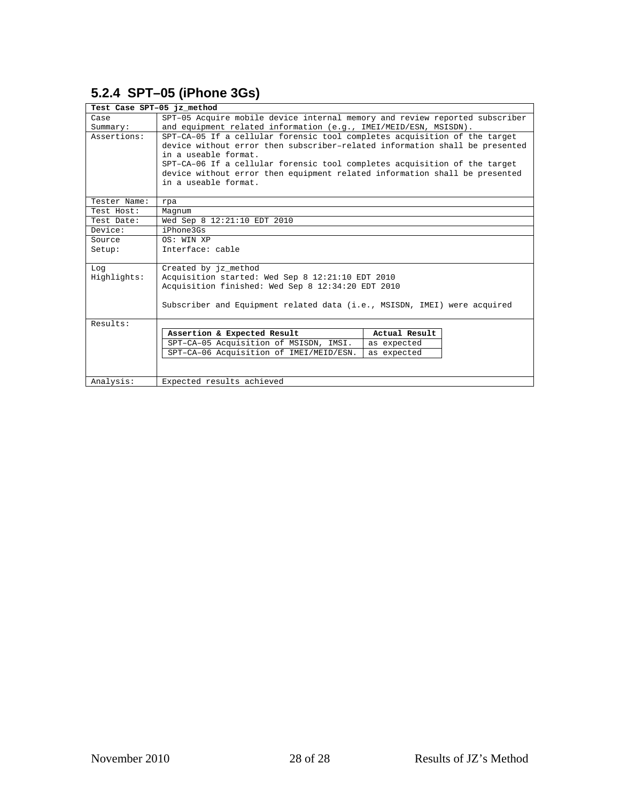#### <span id="page-20-0"></span>**5.2.4 SPT–05 (iPhone 3Gs)**

| Test Case SPT-05 jz method |                                                                             |               |  |
|----------------------------|-----------------------------------------------------------------------------|---------------|--|
| Case                       | SPT-05 Acquire mobile device internal memory and review reported subscriber |               |  |
| Summary:                   | and equipment related information (e.g., IMEI/MEID/ESN, MSISDN).            |               |  |
| Assertions:                | SPT-CA-05 If a cellular forensic tool completes acquisition of the target   |               |  |
|                            | device without error then subscriber-related information shall be presented |               |  |
|                            | in a useable format.                                                        |               |  |
|                            | SPT-CA-06 If a cellular forensic tool completes acquisition of the target   |               |  |
|                            | device without error then equipment related information shall be presented  |               |  |
|                            | in a useable format.                                                        |               |  |
| Tester Name:               | rpa                                                                         |               |  |
| Test Host:                 | Magnum                                                                      |               |  |
| Test Date:                 | Wed Sep 8 12:21:10 EDT 2010                                                 |               |  |
| Device:                    | iPhone3Gs                                                                   |               |  |
| Source                     | OS: WIN XP                                                                  |               |  |
| Setup:                     | Interface: cable                                                            |               |  |
|                            |                                                                             |               |  |
| Log                        | Created by jz method                                                        |               |  |
| Highlights:                | Acquisition started: Wed Sep 8 12:21:10 EDT 2010                            |               |  |
|                            | Acquisition finished: Wed Sep 8 12:34:20 EDT 2010                           |               |  |
|                            |                                                                             |               |  |
|                            | Subscriber and Equipment related data (i.e., MSISDN, IMEI) were acquired    |               |  |
| Results:                   |                                                                             |               |  |
|                            | Assertion & Expected Result                                                 | Actual Result |  |
|                            | SPT-CA-05 Acquisition of MSISDN, IMSI.                                      | as expected   |  |
|                            | SPT-CA-06 Acquisition of IMEI/MEID/ESN.                                     | as expected   |  |
|                            |                                                                             |               |  |
|                            |                                                                             |               |  |
| Analysis:                  | Expected results achieved                                                   |               |  |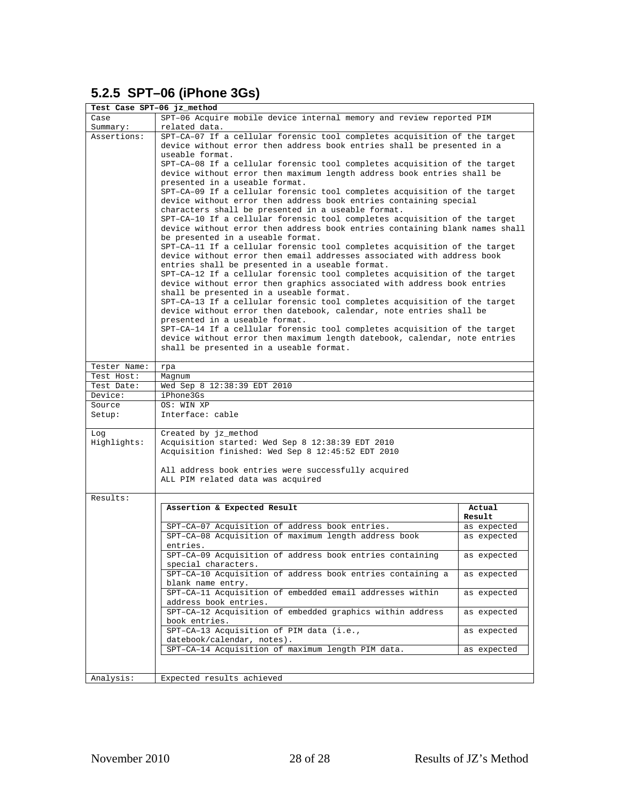#### <span id="page-21-0"></span>**5.2.5 SPT–06 (iPhone 3Gs)**

| Test Case SPT-06 jz_method |                                                                                                                                                                                                                                                                                                                                                                                                                                                                                                                                                                                                                                                                                                                                                                                                                                                                                                                                                                                                                                                                                                                                                                                                                                                                    |                  |  |
|----------------------------|--------------------------------------------------------------------------------------------------------------------------------------------------------------------------------------------------------------------------------------------------------------------------------------------------------------------------------------------------------------------------------------------------------------------------------------------------------------------------------------------------------------------------------------------------------------------------------------------------------------------------------------------------------------------------------------------------------------------------------------------------------------------------------------------------------------------------------------------------------------------------------------------------------------------------------------------------------------------------------------------------------------------------------------------------------------------------------------------------------------------------------------------------------------------------------------------------------------------------------------------------------------------|------------------|--|
| Case                       | SPT-06 Acquire mobile device internal memory and review reported PIM                                                                                                                                                                                                                                                                                                                                                                                                                                                                                                                                                                                                                                                                                                                                                                                                                                                                                                                                                                                                                                                                                                                                                                                               |                  |  |
| Summary:                   | related data.                                                                                                                                                                                                                                                                                                                                                                                                                                                                                                                                                                                                                                                                                                                                                                                                                                                                                                                                                                                                                                                                                                                                                                                                                                                      |                  |  |
| Assertions:                | SPT-CA-07 If a cellular forensic tool completes acquisition of the target<br>device without error then address book entries shall be presented in a<br>useable format.<br>SPT-CA-08 If a cellular forensic tool completes acquisition of the target<br>device without error then maximum length address book entries shall be<br>presented in a useable format.<br>SPT-CA-09 If a cellular forensic tool completes acquisition of the target<br>device without error then address book entries containing special<br>characters shall be presented in a useable format.<br>SPT-CA-10 If a cellular forensic tool completes acquisition of the target<br>device without error then address book entries containing blank names shall<br>be presented in a useable format.<br>SPT-CA-11 If a cellular forensic tool completes acquisition of the target<br>device without error then email addresses associated with address book<br>entries shall be presented in a useable format.<br>SPT-CA-12 If a cellular forensic tool completes acquisition of the target<br>device without error then graphics associated with address book entries<br>shall be presented in a useable format.<br>SPT-CA-13 If a cellular forensic tool completes acquisition of the target |                  |  |
|                            | device without error then datebook, calendar, note entries shall be                                                                                                                                                                                                                                                                                                                                                                                                                                                                                                                                                                                                                                                                                                                                                                                                                                                                                                                                                                                                                                                                                                                                                                                                |                  |  |
|                            | presented in a useable format.<br>SPT-CA-14 If a cellular forensic tool completes acquisition of the target                                                                                                                                                                                                                                                                                                                                                                                                                                                                                                                                                                                                                                                                                                                                                                                                                                                                                                                                                                                                                                                                                                                                                        |                  |  |
|                            | device without error then maximum length datebook, calendar, note entries                                                                                                                                                                                                                                                                                                                                                                                                                                                                                                                                                                                                                                                                                                                                                                                                                                                                                                                                                                                                                                                                                                                                                                                          |                  |  |
|                            | shall be presented in a useable format.                                                                                                                                                                                                                                                                                                                                                                                                                                                                                                                                                                                                                                                                                                                                                                                                                                                                                                                                                                                                                                                                                                                                                                                                                            |                  |  |
|                            |                                                                                                                                                                                                                                                                                                                                                                                                                                                                                                                                                                                                                                                                                                                                                                                                                                                                                                                                                                                                                                                                                                                                                                                                                                                                    |                  |  |
| Tester Name:               | rpa                                                                                                                                                                                                                                                                                                                                                                                                                                                                                                                                                                                                                                                                                                                                                                                                                                                                                                                                                                                                                                                                                                                                                                                                                                                                |                  |  |
| Test Host:                 | Magnum                                                                                                                                                                                                                                                                                                                                                                                                                                                                                                                                                                                                                                                                                                                                                                                                                                                                                                                                                                                                                                                                                                                                                                                                                                                             |                  |  |
| Test Date:                 | Wed Sep 8 12:38:39 EDT 2010                                                                                                                                                                                                                                                                                                                                                                                                                                                                                                                                                                                                                                                                                                                                                                                                                                                                                                                                                                                                                                                                                                                                                                                                                                        |                  |  |
| Device:                    | iPhone3Gs                                                                                                                                                                                                                                                                                                                                                                                                                                                                                                                                                                                                                                                                                                                                                                                                                                                                                                                                                                                                                                                                                                                                                                                                                                                          |                  |  |
| Source                     | OS: WIN XP                                                                                                                                                                                                                                                                                                                                                                                                                                                                                                                                                                                                                                                                                                                                                                                                                                                                                                                                                                                                                                                                                                                                                                                                                                                         |                  |  |
| Setup:                     | Interface: cable                                                                                                                                                                                                                                                                                                                                                                                                                                                                                                                                                                                                                                                                                                                                                                                                                                                                                                                                                                                                                                                                                                                                                                                                                                                   |                  |  |
| Log                        | Created by jz_method                                                                                                                                                                                                                                                                                                                                                                                                                                                                                                                                                                                                                                                                                                                                                                                                                                                                                                                                                                                                                                                                                                                                                                                                                                               |                  |  |
| Highlights:                | Acquisition started: Wed Sep 8 12:38:39 EDT 2010                                                                                                                                                                                                                                                                                                                                                                                                                                                                                                                                                                                                                                                                                                                                                                                                                                                                                                                                                                                                                                                                                                                                                                                                                   |                  |  |
|                            | Acquisition finished: Wed Sep 8 12:45:52 EDT 2010                                                                                                                                                                                                                                                                                                                                                                                                                                                                                                                                                                                                                                                                                                                                                                                                                                                                                                                                                                                                                                                                                                                                                                                                                  |                  |  |
|                            | All address book entries were successfully acquired<br>ALL PIM related data was acquired                                                                                                                                                                                                                                                                                                                                                                                                                                                                                                                                                                                                                                                                                                                                                                                                                                                                                                                                                                                                                                                                                                                                                                           |                  |  |
| Results:                   |                                                                                                                                                                                                                                                                                                                                                                                                                                                                                                                                                                                                                                                                                                                                                                                                                                                                                                                                                                                                                                                                                                                                                                                                                                                                    |                  |  |
|                            | Assertion & Expected Result                                                                                                                                                                                                                                                                                                                                                                                                                                                                                                                                                                                                                                                                                                                                                                                                                                                                                                                                                                                                                                                                                                                                                                                                                                        | Actual<br>Result |  |
|                            | SPT-CA-07 Acquisition of address book entries.                                                                                                                                                                                                                                                                                                                                                                                                                                                                                                                                                                                                                                                                                                                                                                                                                                                                                                                                                                                                                                                                                                                                                                                                                     | as expected      |  |
|                            | SPT-CA-08 Acquisition of maximum length address book<br>entries.                                                                                                                                                                                                                                                                                                                                                                                                                                                                                                                                                                                                                                                                                                                                                                                                                                                                                                                                                                                                                                                                                                                                                                                                   | as expected      |  |
|                            | SPT-CA-09 Acquisition of address book entries containing<br>special characters.                                                                                                                                                                                                                                                                                                                                                                                                                                                                                                                                                                                                                                                                                                                                                                                                                                                                                                                                                                                                                                                                                                                                                                                    | as expected      |  |
|                            | SPT-CA-10 Acquisition of address book entries containing a<br>blank name entry.                                                                                                                                                                                                                                                                                                                                                                                                                                                                                                                                                                                                                                                                                                                                                                                                                                                                                                                                                                                                                                                                                                                                                                                    | as expected      |  |
|                            | SPT-CA-11 Acquisition of embedded email addresses within<br>address book entries.                                                                                                                                                                                                                                                                                                                                                                                                                                                                                                                                                                                                                                                                                                                                                                                                                                                                                                                                                                                                                                                                                                                                                                                  | as expected      |  |
|                            | SPT-CA-12 Acquisition of embedded graphics within address<br>book entries.                                                                                                                                                                                                                                                                                                                                                                                                                                                                                                                                                                                                                                                                                                                                                                                                                                                                                                                                                                                                                                                                                                                                                                                         | as expected      |  |
|                            | SPT-CA-13 Acquisition of PIM data (i.e.,<br>datebook/calendar, notes).                                                                                                                                                                                                                                                                                                                                                                                                                                                                                                                                                                                                                                                                                                                                                                                                                                                                                                                                                                                                                                                                                                                                                                                             | as expected      |  |
|                            | SPT-CA-14 Acquisition of maximum length PIM data.                                                                                                                                                                                                                                                                                                                                                                                                                                                                                                                                                                                                                                                                                                                                                                                                                                                                                                                                                                                                                                                                                                                                                                                                                  | as expected      |  |
|                            |                                                                                                                                                                                                                                                                                                                                                                                                                                                                                                                                                                                                                                                                                                                                                                                                                                                                                                                                                                                                                                                                                                                                                                                                                                                                    |                  |  |
| Analysis:                  | Expected results achieved                                                                                                                                                                                                                                                                                                                                                                                                                                                                                                                                                                                                                                                                                                                                                                                                                                                                                                                                                                                                                                                                                                                                                                                                                                          |                  |  |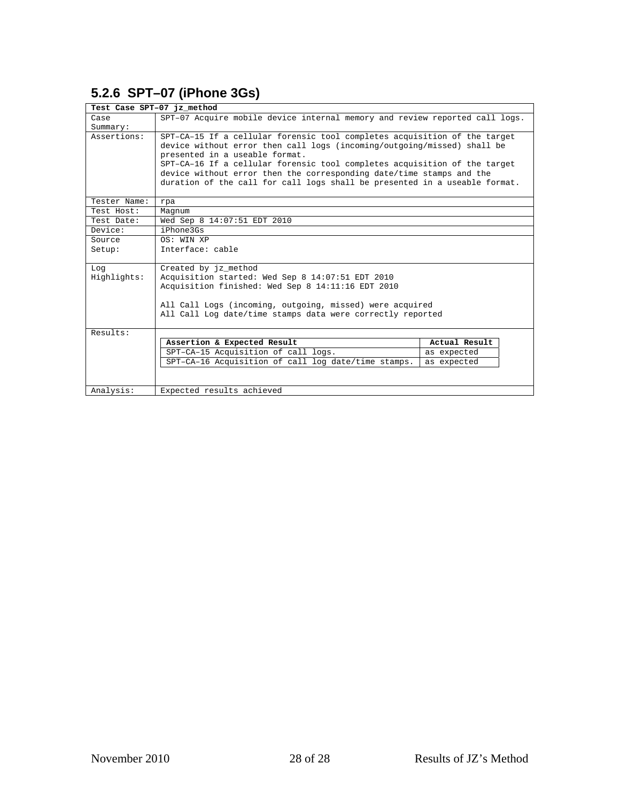#### <span id="page-22-0"></span>**5.2.6 SPT–07 (iPhone 3Gs)**

| Test Case SPT-07 jz method |                                                                             |               |  |
|----------------------------|-----------------------------------------------------------------------------|---------------|--|
| Case                       | SPT-07 Acquire mobile device internal memory and review reported call logs. |               |  |
| Summary:                   |                                                                             |               |  |
| Assertions:                | SPT-CA-15 If a cellular forensic tool completes acquisition of the target   |               |  |
|                            | device without error then call logs (incoming/outgoing/missed) shall be     |               |  |
|                            | presented in a useable format.                                              |               |  |
|                            | SPT-CA-16 If a cellular forensic tool completes acquisition of the target   |               |  |
|                            | device without error then the corresponding date/time stamps and the        |               |  |
|                            | duration of the call for call logs shall be presented in a useable format.  |               |  |
| Tester Name:               | rpa                                                                         |               |  |
| Test Host:                 | Magnum                                                                      |               |  |
| Test Date:                 | Wed Sep 8 14:07:51 EDT 2010                                                 |               |  |
| Device:                    | iPhone3Gs                                                                   |               |  |
| Source                     | OS: WIN XP                                                                  |               |  |
| Setup:                     | Interface: cable                                                            |               |  |
| Log                        | Created by jz method                                                        |               |  |
| Highlights:                | Acquisition started: Wed Sep 8 14:07:51 EDT 2010                            |               |  |
|                            | Acquisition finished: Wed Sep 8 14:11:16 EDT 2010                           |               |  |
|                            |                                                                             |               |  |
|                            | All Call Logs (incoming, outgoing, missed) were acquired                    |               |  |
|                            | All Call Log date/time stamps data were correctly reported                  |               |  |
| Results:                   |                                                                             |               |  |
|                            | Assertion & Expected Result                                                 | Actual Result |  |
|                            | SPT-CA-15 Acquisition of call logs.                                         | as expected   |  |
|                            | SPT-CA-16 Acquisition of call log date/time stamps.                         | as expected   |  |
|                            |                                                                             |               |  |
| Analysis:                  | Expected results achieved                                                   |               |  |
|                            |                                                                             |               |  |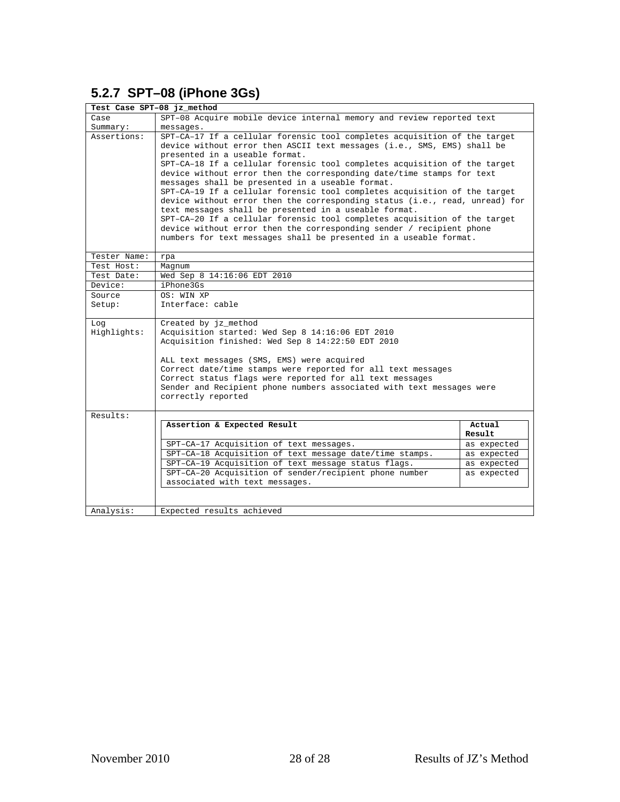#### <span id="page-23-0"></span>**5.2.7 SPT–08 (iPhone 3Gs)**

| Test Case SPT-08 jz_method |                                                                                                                                                                                                                                                                                                                                                                                                                                                                                                                                                                                                                                                                                                                                                                                                                                                 |                  |  |
|----------------------------|-------------------------------------------------------------------------------------------------------------------------------------------------------------------------------------------------------------------------------------------------------------------------------------------------------------------------------------------------------------------------------------------------------------------------------------------------------------------------------------------------------------------------------------------------------------------------------------------------------------------------------------------------------------------------------------------------------------------------------------------------------------------------------------------------------------------------------------------------|------------------|--|
| Case                       | SPT-08 Acquire mobile device internal memory and review reported text                                                                                                                                                                                                                                                                                                                                                                                                                                                                                                                                                                                                                                                                                                                                                                           |                  |  |
| Summary:                   | messages.                                                                                                                                                                                                                                                                                                                                                                                                                                                                                                                                                                                                                                                                                                                                                                                                                                       |                  |  |
| Assertions:                | SPT-CA-17 If a cellular forensic tool completes acquisition of the target<br>device without error then ASCII text messages (i.e., SMS, EMS) shall be<br>presented in a useable format.<br>SPT-CA-18 If a cellular forensic tool completes acquisition of the target<br>device without error then the corresponding date/time stamps for text<br>messages shall be presented in a useable format.<br>SPT-CA-19 If a cellular forensic tool completes acquisition of the target<br>device without error then the corresponding status (i.e., read, unread) for<br>text messages shall be presented in a useable format.<br>SPT-CA-20 If a cellular forensic tool completes acquisition of the target<br>device without error then the corresponding sender / recipient phone<br>numbers for text messages shall be presented in a useable format. |                  |  |
| Tester Name:               | rpa                                                                                                                                                                                                                                                                                                                                                                                                                                                                                                                                                                                                                                                                                                                                                                                                                                             |                  |  |
| Test Host:                 | Magnum                                                                                                                                                                                                                                                                                                                                                                                                                                                                                                                                                                                                                                                                                                                                                                                                                                          |                  |  |
| Test Date:                 | Wed Sep 8 14:16:06 EDT 2010                                                                                                                                                                                                                                                                                                                                                                                                                                                                                                                                                                                                                                                                                                                                                                                                                     |                  |  |
| Device:                    | iPhone3Gs                                                                                                                                                                                                                                                                                                                                                                                                                                                                                                                                                                                                                                                                                                                                                                                                                                       |                  |  |
| Source                     | OS: WIN XP                                                                                                                                                                                                                                                                                                                                                                                                                                                                                                                                                                                                                                                                                                                                                                                                                                      |                  |  |
| Setup:                     | Interface: cable                                                                                                                                                                                                                                                                                                                                                                                                                                                                                                                                                                                                                                                                                                                                                                                                                                |                  |  |
| Log<br>Highlights:         | Created by jz_method<br>Acquisition started: Wed Sep 8 14:16:06 EDT 2010<br>Acquisition finished: Wed Sep 8 14:22:50 EDT 2010<br>ALL text messages (SMS, EMS) were acquired<br>Correct date/time stamps were reported for all text messages<br>Correct status flags were reported for all text messages<br>Sender and Recipient phone numbers associated with text messages were<br>correctly reported                                                                                                                                                                                                                                                                                                                                                                                                                                          |                  |  |
| Results:                   |                                                                                                                                                                                                                                                                                                                                                                                                                                                                                                                                                                                                                                                                                                                                                                                                                                                 |                  |  |
|                            | Assertion & Expected Result                                                                                                                                                                                                                                                                                                                                                                                                                                                                                                                                                                                                                                                                                                                                                                                                                     | Actual<br>Result |  |
|                            | SPT-CA-17 Acquisition of text messages.                                                                                                                                                                                                                                                                                                                                                                                                                                                                                                                                                                                                                                                                                                                                                                                                         | as expected      |  |
|                            | SPT-CA-18 Acquisition of text message date/time stamps.                                                                                                                                                                                                                                                                                                                                                                                                                                                                                                                                                                                                                                                                                                                                                                                         | as expected      |  |
|                            | SPT-CA-19 Acquisition of text message status flags.                                                                                                                                                                                                                                                                                                                                                                                                                                                                                                                                                                                                                                                                                                                                                                                             | as expected      |  |
|                            | SPT-CA-20 Acquisition of sender/recipient phone number                                                                                                                                                                                                                                                                                                                                                                                                                                                                                                                                                                                                                                                                                                                                                                                          | as expected      |  |
|                            | associated with text messages.                                                                                                                                                                                                                                                                                                                                                                                                                                                                                                                                                                                                                                                                                                                                                                                                                  |                  |  |
|                            |                                                                                                                                                                                                                                                                                                                                                                                                                                                                                                                                                                                                                                                                                                                                                                                                                                                 |                  |  |
| Analysis:                  | Expected results achieved                                                                                                                                                                                                                                                                                                                                                                                                                                                                                                                                                                                                                                                                                                                                                                                                                       |                  |  |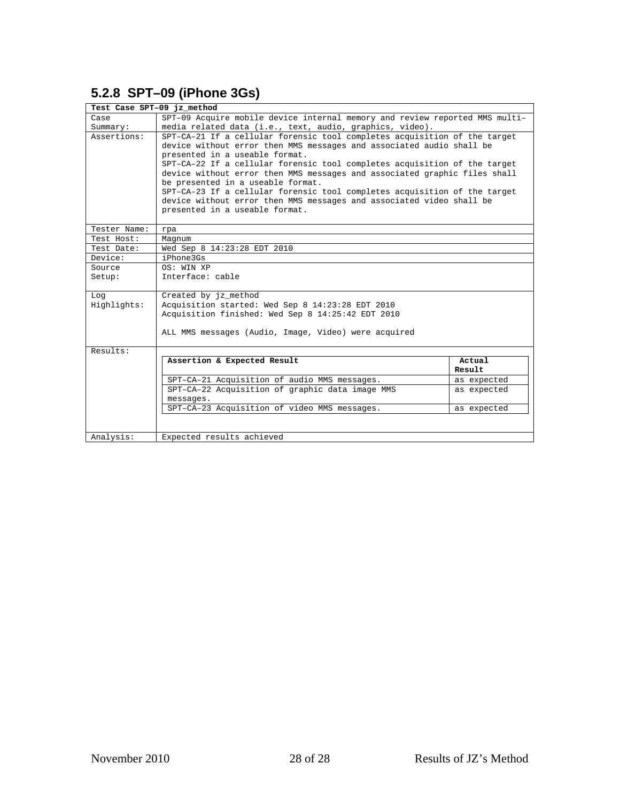#### <span id="page-24-0"></span>**5.2.8 SPT–09 (iPhone 3Gs)**

| Test Case SPT-09 jz method |                                                                                                                                                                                                                                                                                                                                                                                                                                                                                                                                                                           |                  |
|----------------------------|---------------------------------------------------------------------------------------------------------------------------------------------------------------------------------------------------------------------------------------------------------------------------------------------------------------------------------------------------------------------------------------------------------------------------------------------------------------------------------------------------------------------------------------------------------------------------|------------------|
| Case                       | SPT-09 Acquire mobile device internal memory and review reported MMS multi-                                                                                                                                                                                                                                                                                                                                                                                                                                                                                               |                  |
| Summary:                   | media related data (i.e., text, audio, graphics, video).                                                                                                                                                                                                                                                                                                                                                                                                                                                                                                                  |                  |
| Assertions:                | SPT-CA-21 If a cellular forensic tool completes acquisition of the target<br>device without error then MMS messages and associated audio shall be<br>presented in a useable format.<br>SPT-CA-22 If a cellular forensic tool completes acquisition of the target<br>device without error then MMS messages and associated graphic files shall<br>be presented in a useable format.<br>SPT-CA-23 If a cellular forensic tool completes acquisition of the target<br>device without error then MMS messages and associated video shall be<br>presented in a useable format. |                  |
| Tester Name:               | rpa                                                                                                                                                                                                                                                                                                                                                                                                                                                                                                                                                                       |                  |
| Test Host:                 | Magnum                                                                                                                                                                                                                                                                                                                                                                                                                                                                                                                                                                    |                  |
| Test Date:                 | Wed Sep 8 14:23:28 EDT 2010                                                                                                                                                                                                                                                                                                                                                                                                                                                                                                                                               |                  |
| Device:                    | iPhone3Gs                                                                                                                                                                                                                                                                                                                                                                                                                                                                                                                                                                 |                  |
| Source                     | OS: WIN XP                                                                                                                                                                                                                                                                                                                                                                                                                                                                                                                                                                |                  |
| Setup:                     | Interface: cable                                                                                                                                                                                                                                                                                                                                                                                                                                                                                                                                                          |                  |
| Log<br>Highlights:         | Created by jz_method<br>Acquisition started: Wed Sep 8 14:23:28 EDT 2010<br>Acquisition finished: Wed Sep 8 14:25:42 EDT 2010                                                                                                                                                                                                                                                                                                                                                                                                                                             |                  |
|                            |                                                                                                                                                                                                                                                                                                                                                                                                                                                                                                                                                                           |                  |
|                            | ALL MMS messages (Audio, Image, Video) were acquired                                                                                                                                                                                                                                                                                                                                                                                                                                                                                                                      |                  |
| Results:                   |                                                                                                                                                                                                                                                                                                                                                                                                                                                                                                                                                                           |                  |
|                            | Assertion & Expected Result                                                                                                                                                                                                                                                                                                                                                                                                                                                                                                                                               | Actual<br>Result |
|                            | SPT-CA-21 Acquisition of audio MMS messages.                                                                                                                                                                                                                                                                                                                                                                                                                                                                                                                              | as expected      |
|                            | SPT-CA-22 Acquisition of graphic data image MMS<br>messages.                                                                                                                                                                                                                                                                                                                                                                                                                                                                                                              | as expected      |
|                            | SPT-CA-23 Acquisition of video MMS messages.                                                                                                                                                                                                                                                                                                                                                                                                                                                                                                                              | as expected      |
|                            |                                                                                                                                                                                                                                                                                                                                                                                                                                                                                                                                                                           |                  |
| Analysis:                  | Expected results achieved                                                                                                                                                                                                                                                                                                                                                                                                                                                                                                                                                 |                  |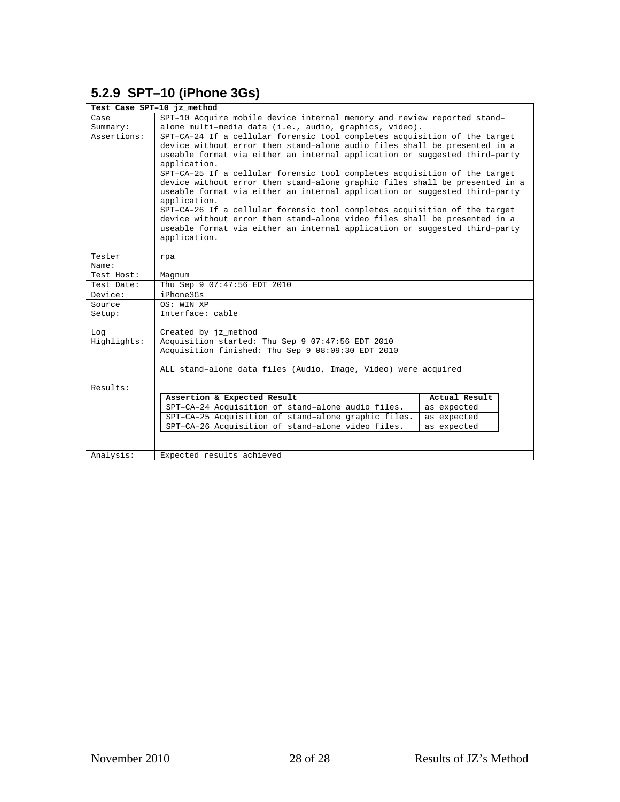#### <span id="page-25-0"></span>**5.2.9 SPT–10 (iPhone 3Gs)**

| Test Case SPT-10 jz method |                                                                                                                                                                                                                                                                                                                                                                                                                                                                                                                                                                                                                                                                                                                                                                        |               |  |
|----------------------------|------------------------------------------------------------------------------------------------------------------------------------------------------------------------------------------------------------------------------------------------------------------------------------------------------------------------------------------------------------------------------------------------------------------------------------------------------------------------------------------------------------------------------------------------------------------------------------------------------------------------------------------------------------------------------------------------------------------------------------------------------------------------|---------------|--|
| Case                       | SPT-10 Acquire mobile device internal memory and review reported stand-                                                                                                                                                                                                                                                                                                                                                                                                                                                                                                                                                                                                                                                                                                |               |  |
| Summary:                   | alone multi-media data (i.e., audio, graphics, video).                                                                                                                                                                                                                                                                                                                                                                                                                                                                                                                                                                                                                                                                                                                 |               |  |
| Assertions:                | SPT-CA-24 If a cellular forensic tool completes acquisition of the target<br>device without error then stand-alone audio files shall be presented in a<br>useable format via either an internal application or suggested third-party<br>application.<br>SPT-CA-25 If a cellular forensic tool completes acquisition of the target<br>device without error then stand-alone graphic files shall be presented in a<br>useable format via either an internal application or suggested third-party<br>application.<br>SPT-CA-26 If a cellular forensic tool completes acquisition of the target<br>device without error then stand-alone video files shall be presented in a<br>useable format via either an internal application or suggested third-party<br>application. |               |  |
|                            |                                                                                                                                                                                                                                                                                                                                                                                                                                                                                                                                                                                                                                                                                                                                                                        |               |  |
| Tester                     | rpa                                                                                                                                                                                                                                                                                                                                                                                                                                                                                                                                                                                                                                                                                                                                                                    |               |  |
| Name:                      |                                                                                                                                                                                                                                                                                                                                                                                                                                                                                                                                                                                                                                                                                                                                                                        |               |  |
| Test Host:                 | Magnum                                                                                                                                                                                                                                                                                                                                                                                                                                                                                                                                                                                                                                                                                                                                                                 |               |  |
| Test Date:                 | Thu Sep 9 07:47:56 EDT 2010                                                                                                                                                                                                                                                                                                                                                                                                                                                                                                                                                                                                                                                                                                                                            |               |  |
| Device:                    | iPhone3Gs                                                                                                                                                                                                                                                                                                                                                                                                                                                                                                                                                                                                                                                                                                                                                              |               |  |
| Source                     | OS: WIN XP                                                                                                                                                                                                                                                                                                                                                                                                                                                                                                                                                                                                                                                                                                                                                             |               |  |
| Setup:                     | Interface: cable                                                                                                                                                                                                                                                                                                                                                                                                                                                                                                                                                                                                                                                                                                                                                       |               |  |
| Log                        | Created by jz method                                                                                                                                                                                                                                                                                                                                                                                                                                                                                                                                                                                                                                                                                                                                                   |               |  |
| Highlights:                | Acquisition started: Thu Sep 9 07:47:56 EDT 2010                                                                                                                                                                                                                                                                                                                                                                                                                                                                                                                                                                                                                                                                                                                       |               |  |
|                            | Acquisition finished: Thu Sep 9 08:09:30 EDT 2010                                                                                                                                                                                                                                                                                                                                                                                                                                                                                                                                                                                                                                                                                                                      |               |  |
|                            | ALL stand-alone data files (Audio, Image, Video) were acquired                                                                                                                                                                                                                                                                                                                                                                                                                                                                                                                                                                                                                                                                                                         |               |  |
| Results:                   |                                                                                                                                                                                                                                                                                                                                                                                                                                                                                                                                                                                                                                                                                                                                                                        |               |  |
|                            | Assertion & Expected Result                                                                                                                                                                                                                                                                                                                                                                                                                                                                                                                                                                                                                                                                                                                                            | Actual Result |  |
|                            | SPT-CA-24 Acquisition of stand-alone audio files.                                                                                                                                                                                                                                                                                                                                                                                                                                                                                                                                                                                                                                                                                                                      | as expected   |  |
|                            | SPT-CA-25 Acquisition of stand-alone graphic files.                                                                                                                                                                                                                                                                                                                                                                                                                                                                                                                                                                                                                                                                                                                    | as expected   |  |
|                            | SPT-CA-26 Acquisition of stand-alone video files.                                                                                                                                                                                                                                                                                                                                                                                                                                                                                                                                                                                                                                                                                                                      | as expected   |  |
|                            |                                                                                                                                                                                                                                                                                                                                                                                                                                                                                                                                                                                                                                                                                                                                                                        |               |  |
|                            |                                                                                                                                                                                                                                                                                                                                                                                                                                                                                                                                                                                                                                                                                                                                                                        |               |  |
| Analysis:                  | Expected results achieved                                                                                                                                                                                                                                                                                                                                                                                                                                                                                                                                                                                                                                                                                                                                              |               |  |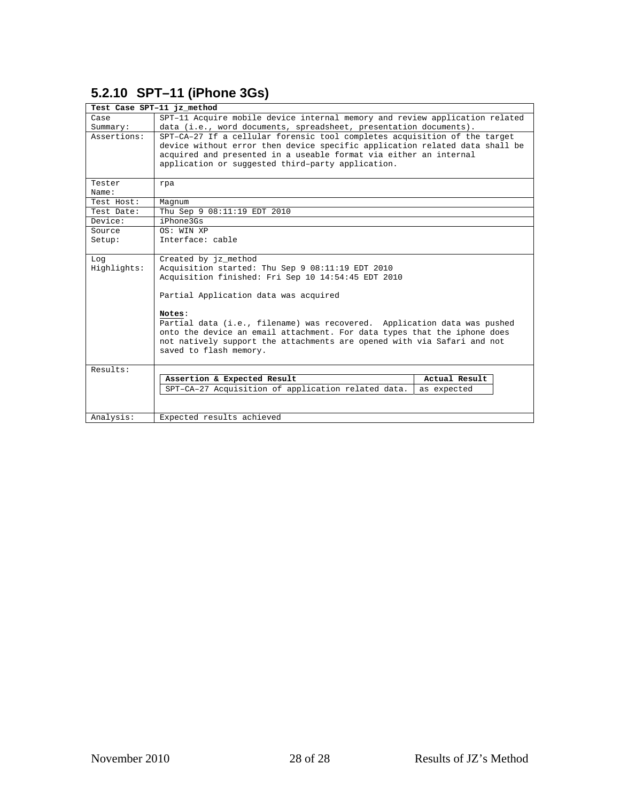### <span id="page-26-0"></span>**5.2.10 SPT–11 (iPhone 3Gs)**

| Test Case SPT-11 jz method |                                                                                                                                                                                                                               |  |  |
|----------------------------|-------------------------------------------------------------------------------------------------------------------------------------------------------------------------------------------------------------------------------|--|--|
| Case                       | SPT-11 Acquire mobile device internal memory and review application related                                                                                                                                                   |  |  |
| Summary:                   | data (i.e., word documents, spreadsheet, presentation documents).                                                                                                                                                             |  |  |
| Assertions:                | SPT-CA-27 If a cellular forensic tool completes acquisition of the target<br>device without error then device specific application related data shall be<br>acquired and presented in a useable format via either an internal |  |  |
|                            | application or suggested third-party application.                                                                                                                                                                             |  |  |
| Tester<br>Name:            | rpa                                                                                                                                                                                                                           |  |  |
| Test Host:                 | Magnum                                                                                                                                                                                                                        |  |  |
| Test Date:                 | Thu Sep 9 08:11:19 EDT 2010                                                                                                                                                                                                   |  |  |
| Device:                    | iPhone3Gs                                                                                                                                                                                                                     |  |  |
| Source                     | OS: WIN XP                                                                                                                                                                                                                    |  |  |
| Setup:                     | Interface: cable                                                                                                                                                                                                              |  |  |
| Log                        | Created by jz method                                                                                                                                                                                                          |  |  |
| Highlights:                | Acquisition started: Thu Sep 9 08:11:19 EDT 2010                                                                                                                                                                              |  |  |
|                            | Acquisition finished: Fri Sep 10 14:54:45 EDT 2010                                                                                                                                                                            |  |  |
|                            | Partial Application data was acquired                                                                                                                                                                                         |  |  |
|                            | Notes:                                                                                                                                                                                                                        |  |  |
|                            | Partial data (i.e., filename) was recovered. Application data was pushed                                                                                                                                                      |  |  |
|                            | onto the device an email attachment. For data types that the iphone does                                                                                                                                                      |  |  |
|                            | not natively support the attachments are opened with via Safari and not                                                                                                                                                       |  |  |
|                            | saved to flash memory.                                                                                                                                                                                                        |  |  |
| Results:                   |                                                                                                                                                                                                                               |  |  |
|                            | Assertion & Expected Result<br>Actual Result                                                                                                                                                                                  |  |  |
|                            | SPT-CA-27 Acquisition of application related data.<br>as expected                                                                                                                                                             |  |  |
|                            |                                                                                                                                                                                                                               |  |  |
| Analysis:                  | Expected results achieved                                                                                                                                                                                                     |  |  |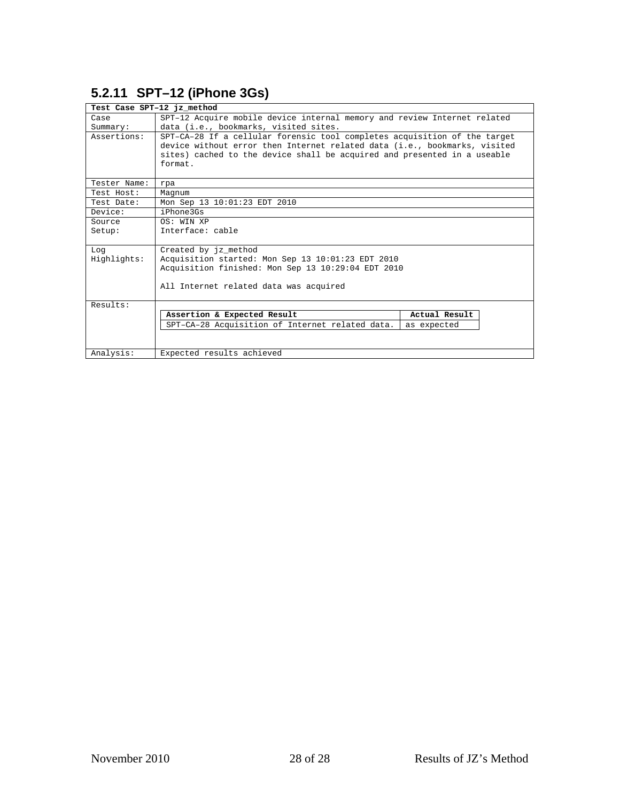## <span id="page-27-0"></span>**5.2.11 SPT–12 (iPhone 3Gs)**

| Test Case SPT-12 jz method |                                                                                                                                                                                                                                               |               |  |
|----------------------------|-----------------------------------------------------------------------------------------------------------------------------------------------------------------------------------------------------------------------------------------------|---------------|--|
| Case                       | SPT-12 Acquire mobile device internal memory and review Internet related                                                                                                                                                                      |               |  |
| Summary:                   | data (i.e., bookmarks, visited sites.                                                                                                                                                                                                         |               |  |
| Assertions:                | SPT-CA-28 If a cellular forensic tool completes acquisition of the target<br>device without error then Internet related data (i.e., bookmarks, visited<br>sites) cached to the device shall be acquired and presented in a useable<br>format. |               |  |
| Tester Name:               | rpa                                                                                                                                                                                                                                           |               |  |
| Test Host:                 | Magnum                                                                                                                                                                                                                                        |               |  |
| Test Date:                 | Mon Sep 13 10:01:23 EDT 2010                                                                                                                                                                                                                  |               |  |
| Device:                    | iPhone3Gs                                                                                                                                                                                                                                     |               |  |
| Source                     | OS: WIN XP                                                                                                                                                                                                                                    |               |  |
| Setup:                     | Interface: cable                                                                                                                                                                                                                              |               |  |
| Log                        | Created by jz_method                                                                                                                                                                                                                          |               |  |
| Highlights:                | Acquisition started: Mon Sep 13 10:01:23 EDT 2010                                                                                                                                                                                             |               |  |
|                            | Acquisition finished: Mon Sep 13 10:29:04 EDT 2010                                                                                                                                                                                            |               |  |
|                            | All Internet related data was acquired                                                                                                                                                                                                        |               |  |
| Results:                   |                                                                                                                                                                                                                                               |               |  |
|                            | Assertion & Expected Result                                                                                                                                                                                                                   | Actual Result |  |
|                            | SPT-CA-28 Acquisition of Internet related data.                                                                                                                                                                                               | as expected   |  |
|                            |                                                                                                                                                                                                                                               |               |  |
| Analysis:                  | Expected results achieved                                                                                                                                                                                                                     |               |  |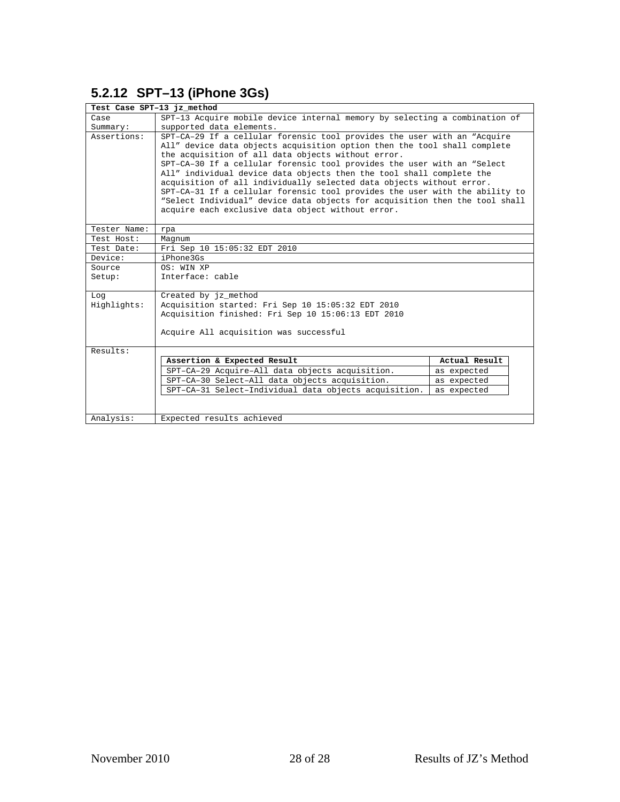## <span id="page-28-0"></span>**5.2.12 SPT–13 (iPhone 3Gs)**

| Test Case SPT-13 jz method |                                                                                                                                                                                                                                                                                                                                                                                                                                                                                                                                                                                                                                                          |               |
|----------------------------|----------------------------------------------------------------------------------------------------------------------------------------------------------------------------------------------------------------------------------------------------------------------------------------------------------------------------------------------------------------------------------------------------------------------------------------------------------------------------------------------------------------------------------------------------------------------------------------------------------------------------------------------------------|---------------|
| Case                       | SPT-13 Acquire mobile device internal memory by selecting a combination of                                                                                                                                                                                                                                                                                                                                                                                                                                                                                                                                                                               |               |
| Summary:                   | supported data elements.                                                                                                                                                                                                                                                                                                                                                                                                                                                                                                                                                                                                                                 |               |
| Assertions:                | SPT-CA-29 If a cellular forensic tool provides the user with an "Acquire<br>All" device data objects acquisition option then the tool shall complete<br>the acquisition of all data objects without error.<br>SPT-CA-30 If a cellular forensic tool provides the user with an "Select<br>All" individual device data objects then the tool shall complete the<br>acquisition of all individually selected data objects without error.<br>SPT-CA-31 If a cellular forensic tool provides the user with the ability to<br>"Select Individual" device data objects for acquisition then the tool shall<br>acquire each exclusive data object without error. |               |
| Tester Name:               | rpa                                                                                                                                                                                                                                                                                                                                                                                                                                                                                                                                                                                                                                                      |               |
| Test Host:                 | Magnum                                                                                                                                                                                                                                                                                                                                                                                                                                                                                                                                                                                                                                                   |               |
| Test Date:                 | Fri Sep 10 15:05:32 EDT 2010                                                                                                                                                                                                                                                                                                                                                                                                                                                                                                                                                                                                                             |               |
| Device:                    | iPhone3Gs                                                                                                                                                                                                                                                                                                                                                                                                                                                                                                                                                                                                                                                |               |
| Source                     | OS: WIN XP                                                                                                                                                                                                                                                                                                                                                                                                                                                                                                                                                                                                                                               |               |
| Setup:                     | Interface: cable                                                                                                                                                                                                                                                                                                                                                                                                                                                                                                                                                                                                                                         |               |
| Log                        | Created by jz_method                                                                                                                                                                                                                                                                                                                                                                                                                                                                                                                                                                                                                                     |               |
| Highlights:                | Acquisition started: Fri Sep 10 15:05:32 EDT 2010                                                                                                                                                                                                                                                                                                                                                                                                                                                                                                                                                                                                        |               |
|                            | Acquisition finished: Fri Sep 10 15:06:13 EDT 2010                                                                                                                                                                                                                                                                                                                                                                                                                                                                                                                                                                                                       |               |
|                            | Acquire All acquisition was successful                                                                                                                                                                                                                                                                                                                                                                                                                                                                                                                                                                                                                   |               |
| Results:                   |                                                                                                                                                                                                                                                                                                                                                                                                                                                                                                                                                                                                                                                          |               |
|                            | Assertion & Expected Result                                                                                                                                                                                                                                                                                                                                                                                                                                                                                                                                                                                                                              | Actual Result |
|                            | SPT-CA-29 Acquire-All data objects acquisition.                                                                                                                                                                                                                                                                                                                                                                                                                                                                                                                                                                                                          | as expected   |
|                            | SPT-CA-30 Select-All data objects acquisition.                                                                                                                                                                                                                                                                                                                                                                                                                                                                                                                                                                                                           | as expected   |
|                            | SPT-CA-31 Select-Individual data objects acquisition.                                                                                                                                                                                                                                                                                                                                                                                                                                                                                                                                                                                                    | as expected   |
|                            |                                                                                                                                                                                                                                                                                                                                                                                                                                                                                                                                                                                                                                                          |               |
| Analysis:                  | Expected results achieved                                                                                                                                                                                                                                                                                                                                                                                                                                                                                                                                                                                                                                |               |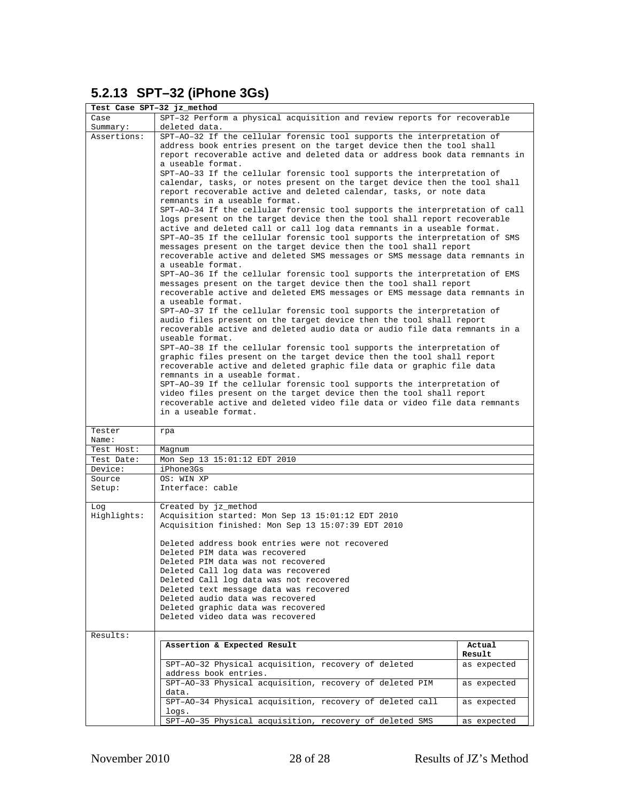## <span id="page-29-0"></span>**5.2.13 SPT–32 (iPhone 3Gs)**

| Test Case SPT-32 jz_method |                                                                                                                                                                                                                                                                                                                                                                                                                                                                                                                                                                                                                                                                                                                                                                                                                                                                                                                                                                                                                                                                                                                                                                                     |             |  |
|----------------------------|-------------------------------------------------------------------------------------------------------------------------------------------------------------------------------------------------------------------------------------------------------------------------------------------------------------------------------------------------------------------------------------------------------------------------------------------------------------------------------------------------------------------------------------------------------------------------------------------------------------------------------------------------------------------------------------------------------------------------------------------------------------------------------------------------------------------------------------------------------------------------------------------------------------------------------------------------------------------------------------------------------------------------------------------------------------------------------------------------------------------------------------------------------------------------------------|-------------|--|
| Case<br>Summary:           | SPT-32 Perform a physical acquisition and review reports for recoverable<br>deleted data.                                                                                                                                                                                                                                                                                                                                                                                                                                                                                                                                                                                                                                                                                                                                                                                                                                                                                                                                                                                                                                                                                           |             |  |
| Assertions:                | SPT-A0-32 If the cellular forensic tool supports the interpretation of<br>address book entries present on the target device then the tool shall<br>report recoverable active and deleted data or address book data remnants in<br>a useable format.                                                                                                                                                                                                                                                                                                                                                                                                                                                                                                                                                                                                                                                                                                                                                                                                                                                                                                                                 |             |  |
|                            | SPT-AO-33 If the cellular forensic tool supports the interpretation of<br>calendar, tasks, or notes present on the target device then the tool shall<br>report recoverable active and deleted calendar, tasks, or note data                                                                                                                                                                                                                                                                                                                                                                                                                                                                                                                                                                                                                                                                                                                                                                                                                                                                                                                                                         |             |  |
|                            | remnants in a useable format.<br>SPT-AO-34 If the cellular forensic tool supports the interpretation of call<br>logs present on the target device then the tool shall report recoverable<br>active and deleted call or call log data remnants in a useable format.<br>SPT-AO-35 If the cellular forensic tool supports the interpretation of SMS<br>messages present on the target device then the tool shall report<br>recoverable active and deleted SMS messages or SMS message data remnants in<br>a useable format.<br>SPT-AO-36 If the cellular forensic tool supports the interpretation of EMS<br>messages present on the target device then the tool shall report<br>recoverable active and deleted EMS messages or EMS message data remnants in<br>a useable format.<br>SPT-AO-37 If the cellular forensic tool supports the interpretation of<br>audio files present on the target device then the tool shall report<br>recoverable active and deleted audio data or audio file data remnants in a<br>useable format.<br>SPT-AO-38 If the cellular forensic tool supports the interpretation of<br>graphic files present on the target device then the tool shall report |             |  |
|                            | recoverable active and deleted graphic file data or graphic file data<br>remnants in a useable format.<br>SPT-AO-39 If the cellular forensic tool supports the interpretation of<br>video files present on the target device then the tool shall report<br>recoverable active and deleted video file data or video file data remnants<br>in a useable format.                                                                                                                                                                                                                                                                                                                                                                                                                                                                                                                                                                                                                                                                                                                                                                                                                       |             |  |
| Tester<br>Name:            | rpa                                                                                                                                                                                                                                                                                                                                                                                                                                                                                                                                                                                                                                                                                                                                                                                                                                                                                                                                                                                                                                                                                                                                                                                 |             |  |
| Test Host:                 | Magnum                                                                                                                                                                                                                                                                                                                                                                                                                                                                                                                                                                                                                                                                                                                                                                                                                                                                                                                                                                                                                                                                                                                                                                              |             |  |
| Test Date:                 | Mon Sep 13 15:01:12 EDT 2010                                                                                                                                                                                                                                                                                                                                                                                                                                                                                                                                                                                                                                                                                                                                                                                                                                                                                                                                                                                                                                                                                                                                                        |             |  |
| Device:                    | iPhone3Gs                                                                                                                                                                                                                                                                                                                                                                                                                                                                                                                                                                                                                                                                                                                                                                                                                                                                                                                                                                                                                                                                                                                                                                           |             |  |
| Source                     | OS: WIN XP                                                                                                                                                                                                                                                                                                                                                                                                                                                                                                                                                                                                                                                                                                                                                                                                                                                                                                                                                                                                                                                                                                                                                                          |             |  |
| Setup:                     | Interface: cable                                                                                                                                                                                                                                                                                                                                                                                                                                                                                                                                                                                                                                                                                                                                                                                                                                                                                                                                                                                                                                                                                                                                                                    |             |  |
| Log<br>Highlights:         | Created by jz_method<br>Acquisition started: Mon Sep 13 15:01:12 EDT 2010<br>Acquisition finished: Mon Sep 13 15:07:39 EDT 2010                                                                                                                                                                                                                                                                                                                                                                                                                                                                                                                                                                                                                                                                                                                                                                                                                                                                                                                                                                                                                                                     |             |  |
|                            | Deleted address book entries were not recovered<br>Deleted PIM data was recovered<br>Deleted PIM data was not recovered<br>Deleted Call log data was recovered<br>Deleted Call log data was not recovered<br>Deleted text message data was recovered<br>Deleted audio data was recovered<br>Deleted graphic data was recovered<br>Deleted video data was recovered                                                                                                                                                                                                                                                                                                                                                                                                                                                                                                                                                                                                                                                                                                                                                                                                                  |             |  |
| Results:                   |                                                                                                                                                                                                                                                                                                                                                                                                                                                                                                                                                                                                                                                                                                                                                                                                                                                                                                                                                                                                                                                                                                                                                                                     | Actual      |  |
|                            | Assertion & Expected Result                                                                                                                                                                                                                                                                                                                                                                                                                                                                                                                                                                                                                                                                                                                                                                                                                                                                                                                                                                                                                                                                                                                                                         | Result      |  |
|                            | SPT-AO-32 Physical acquisition, recovery of deleted<br>address book entries.                                                                                                                                                                                                                                                                                                                                                                                                                                                                                                                                                                                                                                                                                                                                                                                                                                                                                                                                                                                                                                                                                                        | as expected |  |
|                            | SPT-AO-33 Physical acquisition, recovery of deleted PIM<br>data.                                                                                                                                                                                                                                                                                                                                                                                                                                                                                                                                                                                                                                                                                                                                                                                                                                                                                                                                                                                                                                                                                                                    | as expected |  |
|                            | SPT-AO-34 Physical acquisition, recovery of deleted call<br>logs.                                                                                                                                                                                                                                                                                                                                                                                                                                                                                                                                                                                                                                                                                                                                                                                                                                                                                                                                                                                                                                                                                                                   | as expected |  |
|                            | SPT-AO-35 Physical acquisition, recovery of deleted SMS                                                                                                                                                                                                                                                                                                                                                                                                                                                                                                                                                                                                                                                                                                                                                                                                                                                                                                                                                                                                                                                                                                                             | as expected |  |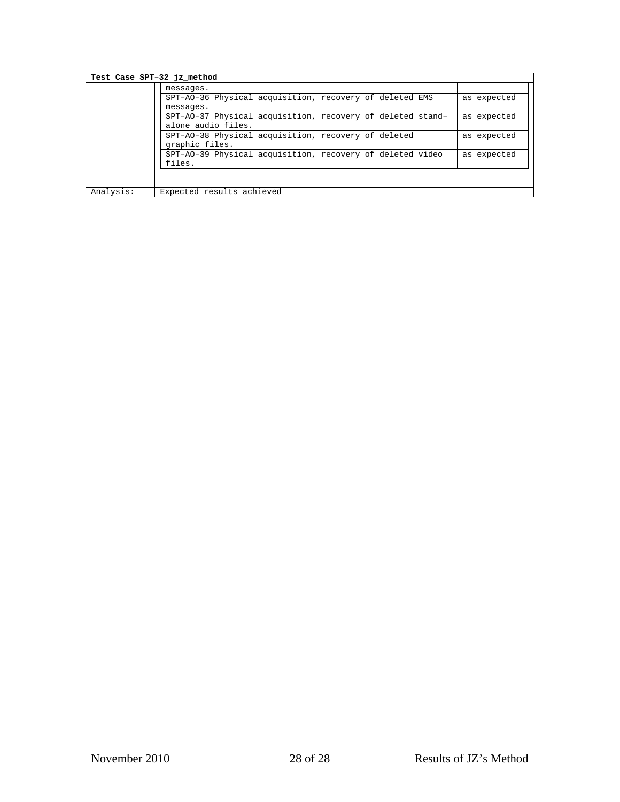| Test Case SPT-32 jz method |                                                            |             |
|----------------------------|------------------------------------------------------------|-------------|
|                            | messages.                                                  |             |
|                            | SPT-A0-36 Physical acquisition, recovery of deleted EMS    | as expected |
|                            | messages.                                                  |             |
|                            | SPT-A0-37 Physical acquisition, recovery of deleted stand- | as expected |
|                            | alone audio files.                                         |             |
|                            | SPT-AO-38 Physical acquisition, recovery of deleted        | as expected |
|                            | graphic files.                                             |             |
|                            | SPT-AO-39 Physical acquisition, recovery of deleted video  | as expected |
|                            | files.                                                     |             |
|                            |                                                            |             |
|                            |                                                            |             |
| Analysis:                  | Expected results achieved                                  |             |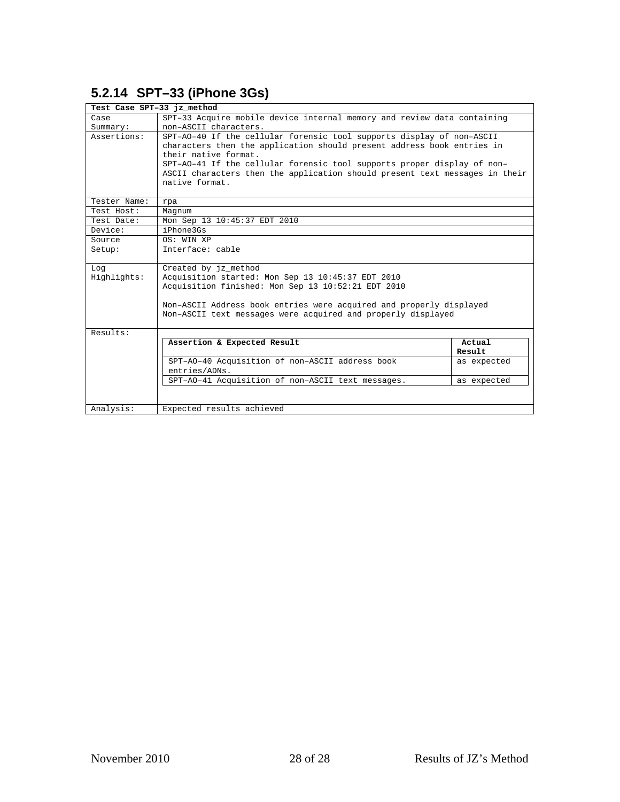## <span id="page-31-0"></span>**5.2.14 SPT–33 (iPhone 3Gs)**

| Test Case SPT-33 jz method |                                                                             |             |  |
|----------------------------|-----------------------------------------------------------------------------|-------------|--|
| Case                       | SPT-33 Acquire mobile device internal memory and review data containing     |             |  |
| Summary:                   | non-ASCII characters.                                                       |             |  |
| Assertions:                | SPT-AO-40 If the cellular forensic tool supports display of non-ASCII       |             |  |
|                            | characters then the application should present address book entries in      |             |  |
|                            | their native format.                                                        |             |  |
|                            | SPT-AO-41 If the cellular forensic tool supports proper display of non-     |             |  |
|                            | ASCII characters then the application should present text messages in their |             |  |
|                            | native format.                                                              |             |  |
| Tester Name:               |                                                                             |             |  |
| Test Host:                 | rpa                                                                         |             |  |
| Test Date:                 | Magnum<br>Mon Sep 13 10:45:37 EDT 2010                                      |             |  |
| Device:                    | iPhone3Gs                                                                   |             |  |
| Source                     | OS: WIN XP                                                                  |             |  |
| Setup:                     | Interface: cable                                                            |             |  |
|                            |                                                                             |             |  |
| Log                        | Created by jz method                                                        |             |  |
| Highlights:                | Acquisition started: Mon Sep 13 10:45:37 EDT 2010                           |             |  |
|                            | Acquisition finished: Mon Sep 13 10:52:21 EDT 2010                          |             |  |
|                            |                                                                             |             |  |
|                            | Non-ASCII Address book entries were acquired and properly displayed         |             |  |
|                            | Non-ASCII text messages were acquired and properly displayed                |             |  |
| Results:                   |                                                                             |             |  |
|                            | Assertion & Expected Result                                                 | Actual      |  |
|                            |                                                                             | Result      |  |
|                            | SPT-AO-40 Acquisition of non-ASCII address book                             |             |  |
|                            | entries/ADNs.                                                               | as expected |  |
|                            | SPT-AO-41 Acquisition of non-ASCII text messages.                           | as expected |  |
|                            |                                                                             |             |  |
|                            |                                                                             |             |  |
| Analysis:                  | Expected results achieved                                                   |             |  |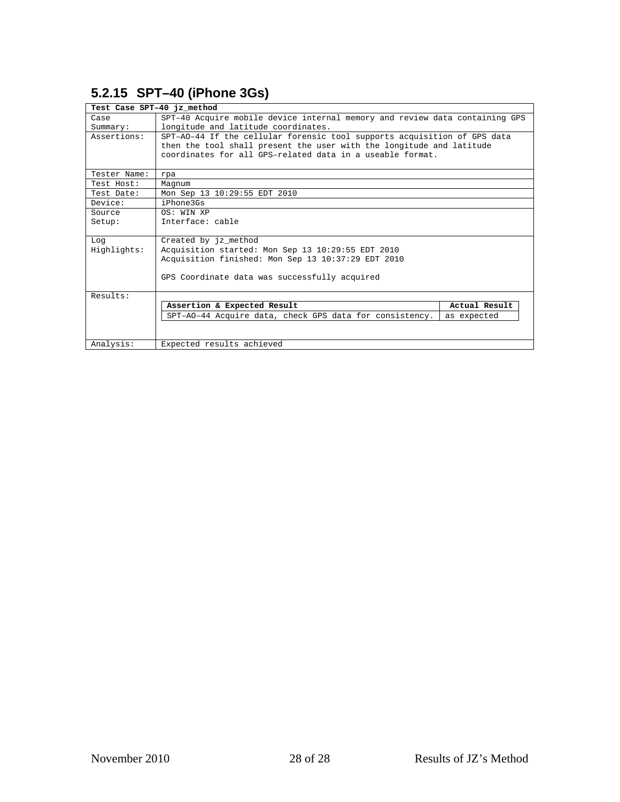## <span id="page-32-0"></span>**5.2.15 SPT–40 (iPhone 3Gs)**

| Test Case SPT-40 jz method |                                                                             |               |
|----------------------------|-----------------------------------------------------------------------------|---------------|
| Case                       | SPT-40 Acquire mobile device internal memory and review data containing GPS |               |
| Summary:                   | longitude and latitude coordinates.                                         |               |
| Assertions:                | SPT-AO-44 If the cellular forensic tool supports acquisition of GPS data    |               |
|                            | then the tool shall present the user with the longitude and latitude        |               |
|                            | coordinates for all GPS-related data in a useable format.                   |               |
|                            |                                                                             |               |
| Tester Name:               | rpa                                                                         |               |
| Test Host:                 | Magnum                                                                      |               |
| Test Date:                 | Mon Sep 13 10:29:55 EDT 2010                                                |               |
| Device:                    | iPhone3Gs                                                                   |               |
| Source                     | OS: WIN XP                                                                  |               |
| Setup:                     | Interface: cable                                                            |               |
|                            |                                                                             |               |
| Log                        | Created by jz_method                                                        |               |
| Highlights:                | Acquisition started: Mon Sep 13 10:29:55 EDT 2010                           |               |
|                            | Acquisition finished: Mon Sep 13 10:37:29 EDT 2010                          |               |
|                            |                                                                             |               |
|                            | GPS Coordinate data was successfully acquired                               |               |
|                            |                                                                             |               |
| Results:                   |                                                                             |               |
|                            | Assertion & Expected Result                                                 | Actual Result |
|                            | SPT-AO-44 Acquire data, check GPS data for consistency.                     | as expected   |
|                            |                                                                             |               |
|                            |                                                                             |               |
| Analysis:                  | Expected results achieved                                                   |               |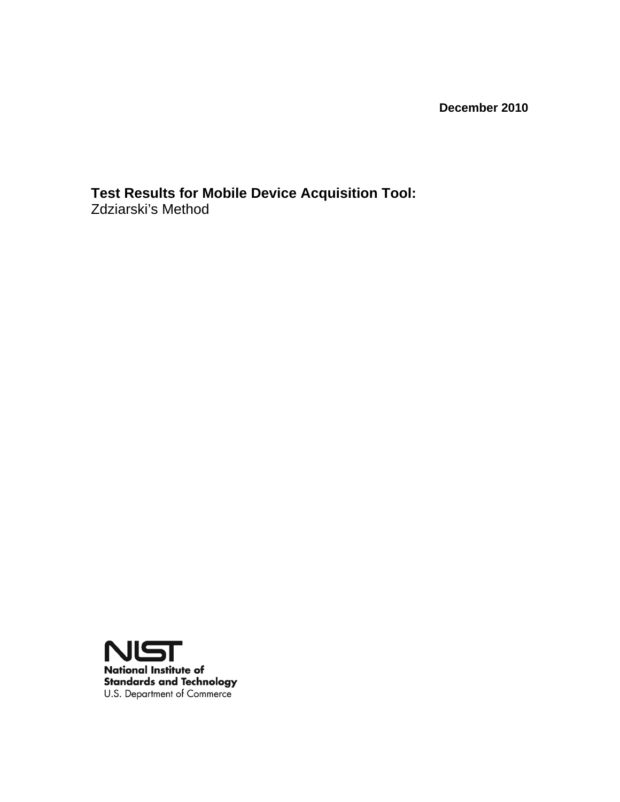**December 2010** 

**Test Results for Mobile Device Acquisition Tool:**  Zdziarski's Method